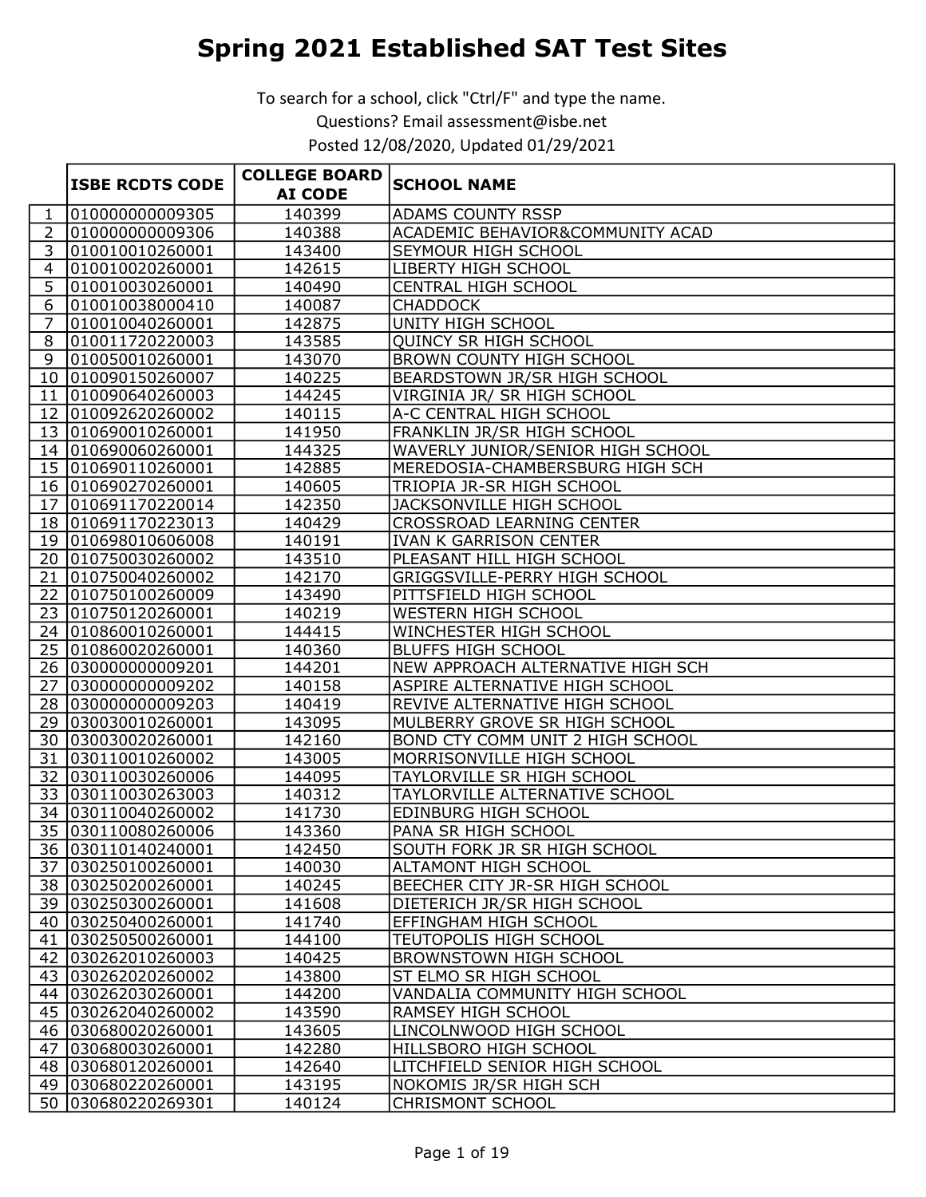|                |                        | <b>COLLEGE BOARD</b> |                                         |
|----------------|------------------------|----------------------|-----------------------------------------|
|                | <b>ISBE RCDTS CODE</b> | <b>AI CODE</b>       | <b>SCHOOL NAME</b>                      |
| 1              | 010000000009305        | 140399               | <b>ADAMS COUNTY RSSP</b>                |
| $\overline{2}$ | 010000000009306        | 140388               | ACADEMIC BEHAVIOR&COMMUNITY ACAD        |
| 3              | 010010010260001        | 143400               | SEYMOUR HIGH SCHOOL                     |
| $\overline{4}$ | 010010020260001        | 142615               | LIBERTY HIGH SCHOOL                     |
| 5              | 010010030260001        | 140490               | CENTRAL HIGH SCHOOL                     |
| 6              | 010010038000410        | 140087               | <b>CHADDOCK</b>                         |
| $\overline{7}$ | 010010040260001        | 142875               | UNITY HIGH SCHOOL                       |
| 8              | 010011720220003        | 143585               | <b>OUINCY SR HIGH SCHOOL</b>            |
| 9              | 010050010260001        | 143070               | <b>BROWN COUNTY HIGH SCHOOL</b>         |
|                | 10 010090150260007     | 140225               | BEARDSTOWN JR/SR HIGH SCHOOL            |
| 11             | 010090640260003        | 144245               | VIRGINIA JR/ SR HIGH SCHOOL             |
|                | 12 010092620260002     | 140115               | A-C CENTRAL HIGH SCHOOL                 |
|                | 13 010690010260001     | 141950               | FRANKLIN JR/SR HIGH SCHOOL              |
|                | 14 010690060260001     | 144325               | WAVERLY JUNIOR/SENIOR HIGH SCHOOL       |
|                | 15 010690110260001     | 142885               | MEREDOSIA-CHAMBERSBURG HIGH SCH         |
|                | 16 010690270260001     | 140605               | TRIOPIA JR-SR HIGH SCHOOL               |
|                | 17 010691170220014     | 142350               | JACKSONVILLE HIGH SCHOOL                |
|                | 18 010691170223013     | 140429               | <b>CROSSROAD LEARNING CENTER</b>        |
|                | 19 010698010606008     | 140191               | <b>IVAN K GARRISON CENTER</b>           |
|                | 20 010750030260002     | 143510               | PLEASANT HILL HIGH SCHOOL               |
| 21             | 010750040260002        | 142170               | GRIGGSVILLE-PERRY HIGH SCHOOL           |
|                | 22 010750100260009     | 143490               | PITTSFIELD HIGH SCHOOL                  |
|                | 23 010750120260001     | 140219               | WESTERN HIGH SCHOOL                     |
|                | 24 010860010260001     | 144415               | WINCHESTER HIGH SCHOOL                  |
|                | 25 010860020260001     | 140360               | <b>BLUFFS HIGH SCHOOL</b>               |
|                | 26 030000000009201     | 144201               | NEW APPROACH ALTERNATIVE HIGH SCH       |
|                | 27 030000000009202     | 140158               | ASPIRE ALTERNATIVE HIGH SCHOOL          |
|                | 28 030000000009203     | 140419               | REVIVE ALTERNATIVE HIGH SCHOOL          |
|                | 29 030030010260001     | 143095               | MULBERRY GROVE SR HIGH SCHOOL           |
|                | 30 030030020260001     | 142160               | <b>BOND CTY COMM UNIT 2 HIGH SCHOOL</b> |
|                | 31 030110010260002     | 143005               | MORRISONVILLE HIGH SCHOOL               |
|                | 32 030110030260006     | 144095               | TAYLORVILLE SR HIGH SCHOOL              |
|                | 33 030110030263003     | 140312               | TAYLORVILLE ALTERNATIVE SCHOOL          |
|                | 34 030110040260002     | 141730               | EDINBURG HIGH SCHOOL                    |
|                | 35 030110080260006     | 143360               | PANA SR HIGH SCHOOL                     |
|                | 36 030110140240001     | 142450               | SOUTH FORK JR SR HIGH SCHOOL            |
|                | 37 030250100260001     | 140030               | ALTAMONT HIGH SCHOOL                    |
|                | 38 030250200260001     | 140245               | BEECHER CITY JR-SR HIGH SCHOOL          |
|                | 39 030250300260001     | 141608               | DIETERICH JR/SR HIGH SCHOOL             |
|                | 40 030250400260001     | 141740               | EFFINGHAM HIGH SCHOOL                   |
|                | 41 030250500260001     | 144100               | TEUTOPOLIS HIGH SCHOOL                  |
|                | 42 030262010260003     | 140425               | <b>BROWNSTOWN HIGH SCHOOL</b>           |
|                | 43 030262020260002     | 143800               | ST ELMO SR HIGH SCHOOL                  |
|                | 44 030262030260001     | 144200               | VANDALIA COMMUNITY HIGH SCHOOL          |
|                | 45 030262040260002     | 143590               | RAMSEY HIGH SCHOOL                      |
|                | 46 030680020260001     | 143605               | LINCOLNWOOD HIGH SCHOOL                 |
|                | 47 030680030260001     | 142280               | HILLSBORO HIGH SCHOOL                   |
|                | 48 030680120260001     | 142640               | LITCHFIELD SENIOR HIGH SCHOOL           |
|                | 49 030680220260001     | 143195               | NOKOMIS JR/SR HIGH SCH                  |
|                | 50 030680220269301     | 140124               | <b>CHRISMONT SCHOOL</b>                 |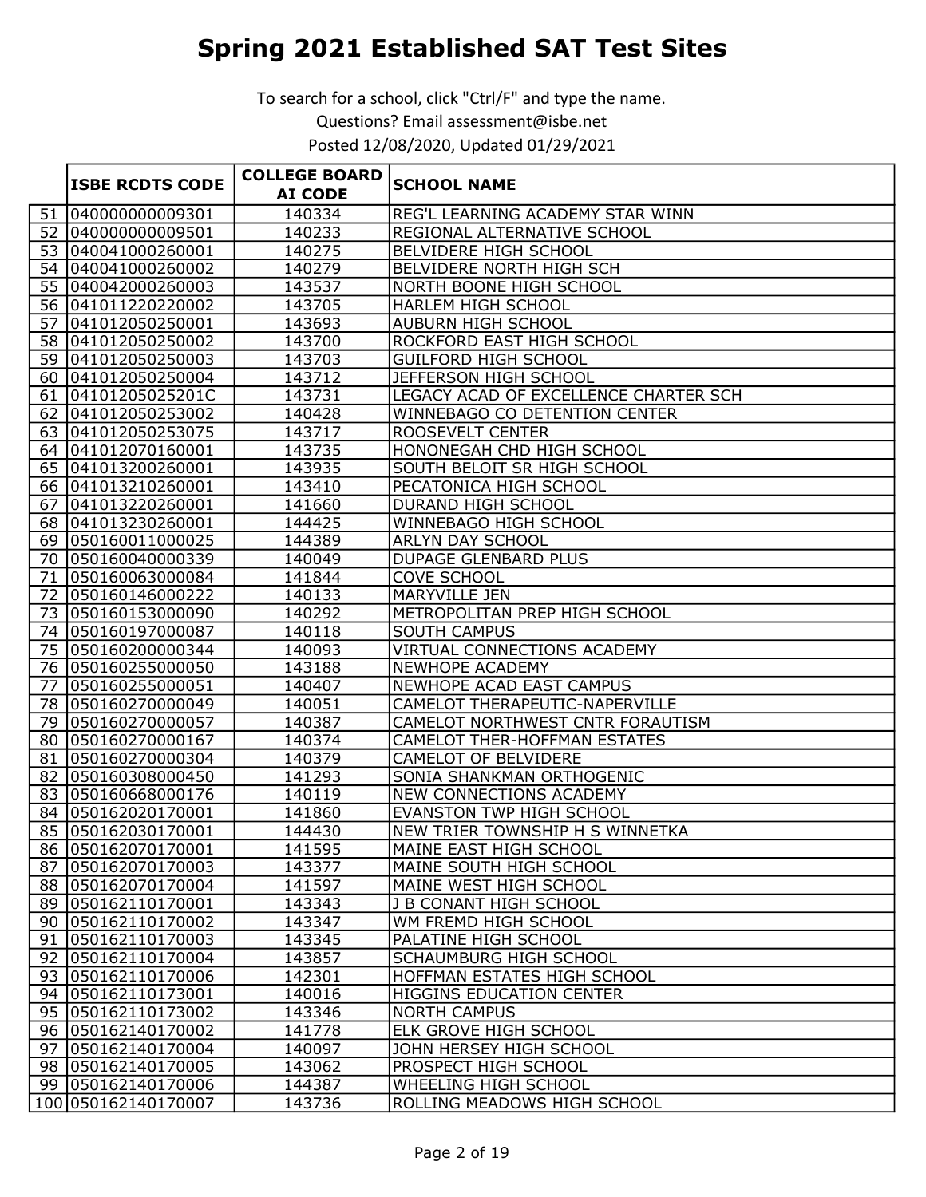|    |                        | <b>COLLEGE BOARD</b> |                                       |
|----|------------------------|----------------------|---------------------------------------|
|    | <b>ISBE RCDTS CODE</b> | <b>AI CODE</b>       | <b>SCHOOL NAME</b>                    |
| 51 | 040000000009301        | 140334               | REG'L LEARNING ACADEMY STAR WINN      |
|    | 52 040000000009501     | 140233               | REGIONAL ALTERNATIVE SCHOOL           |
|    | 53 040041000260001     | 140275               | BELVIDERE HIGH SCHOOL                 |
|    | 54 040041000260002     | 140279               | BELVIDERE NORTH HIGH SCH              |
|    | 55 040042000260003     | 143537               | NORTH BOONE HIGH SCHOOL               |
|    | 56 041011220220002     | 143705               | HARLEM HIGH SCHOOL                    |
|    | 57 041012050250001     | 143693               | <b>AUBURN HIGH SCHOOL</b>             |
|    | 58 041012050250002     | 143700               | ROCKFORD EAST HIGH SCHOOL             |
|    | 59 041012050250003     | 143703               | <b>GUILFORD HIGH SCHOOL</b>           |
|    | 60 041012050250004     | 143712               | JEFFERSON HIGH SCHOOL                 |
|    | 61 04101205025201C     | 143731               | LEGACY ACAD OF EXCELLENCE CHARTER SCH |
|    | 62 041012050253002     | 140428               | WINNEBAGO CO DETENTION CENTER         |
|    | 63 041012050253075     | 143717               | ROOSEVELT CENTER                      |
|    | 64 041012070160001     | 143735               | HONONEGAH CHD HIGH SCHOOL             |
|    | 65 041013200260001     | 143935               | SOUTH BELOIT SR HIGH SCHOOL           |
|    | 66 041013210260001     | 143410               | PECATONICA HIGH SCHOOL                |
|    | 67 041013220260001     | 141660               | DURAND HIGH SCHOOL                    |
|    | 68 041013230260001     | 144425               | WINNEBAGO HIGH SCHOOL                 |
|    | 69 050160011000025     | 144389               | ARLYN DAY SCHOOL                      |
|    | 70 050160040000339     | 140049               | <b>DUPAGE GLENBARD PLUS</b>           |
|    | 71 050160063000084     | 141844               | <b>COVE SCHOOL</b>                    |
|    | 72 050160146000222     | 140133               | MARYVILLE JEN                         |
|    | 73 050160153000090     | 140292               | METROPOLITAN PREP HIGH SCHOOL         |
|    | 74 050160197000087     | 140118               | <b>SOUTH CAMPUS</b>                   |
|    | 75 050160200000344     | 140093               | VIRTUAL CONNECTIONS ACADEMY           |
|    | 76 050160255000050     | 143188               | NEWHOPE ACADEMY                       |
| 77 | 050160255000051        | 140407               | NEWHOPE ACAD EAST CAMPUS              |
|    | 78 050160270000049     | 140051               | CAMELOT THERAPEUTIC-NAPERVILLE        |
|    | 79 050160270000057     | 140387               | CAMELOT NORTHWEST CNTR FORAUTISM      |
|    | 80 050160270000167     | 140374               | <b>CAMELOT THER-HOFFMAN ESTATES</b>   |
|    | 81 050160270000304     | 140379               | <b>CAMELOT OF BELVIDERE</b>           |
|    | 82 050160308000450     | 141293               | SONIA SHANKMAN ORTHOGENIC             |
|    | 83 050160668000176     | 140119               | NEW CONNECTIONS ACADEMY               |
|    | 84 050162020170001     | 141860               | EVANSTON TWP HIGH SCHOOL              |
|    | 85 050162030170001     | 144430               | NEW TRIER TOWNSHIP H S WINNETKA       |
|    | 86 050162070170001     | 141595               | MAINE EAST HIGH SCHOOL                |
|    | 87 050162070170003     | 143377               | MAINE SOUTH HIGH SCHOOL               |
|    | 88 050162070170004     | 141597               | MAINE WEST HIGH SCHOOL                |
|    | 89 050162110170001     | 143343               | J B CONANT HIGH SCHOOL                |
|    | 90 050162110170002     | 143347               | WM FREMD HIGH SCHOOL                  |
|    | 91 050162110170003     | 143345               | PALATINE HIGH SCHOOL                  |
|    | 92 050162110170004     | 143857               | SCHAUMBURG HIGH SCHOOL                |
|    | 93 050162110170006     | 142301               | HOFFMAN ESTATES HIGH SCHOOL           |
|    | 94 050162110173001     | 140016               | <b>HIGGINS EDUCATION CENTER</b>       |
|    | 95 050162110173002     | 143346               | <b>NORTH CAMPUS</b>                   |
|    | 96 050162140170002     | 141778               | ELK GROVE HIGH SCHOOL                 |
|    | 97 050162140170004     | 140097               | JOHN HERSEY HIGH SCHOOL               |
|    | 98 050162140170005     | 143062               | PROSPECT HIGH SCHOOL                  |
|    | 99 050162140170006     | 144387               | WHEELING HIGH SCHOOL                  |
|    | 100 050162140170007    | 143736               | ROLLING MEADOWS HIGH SCHOOL           |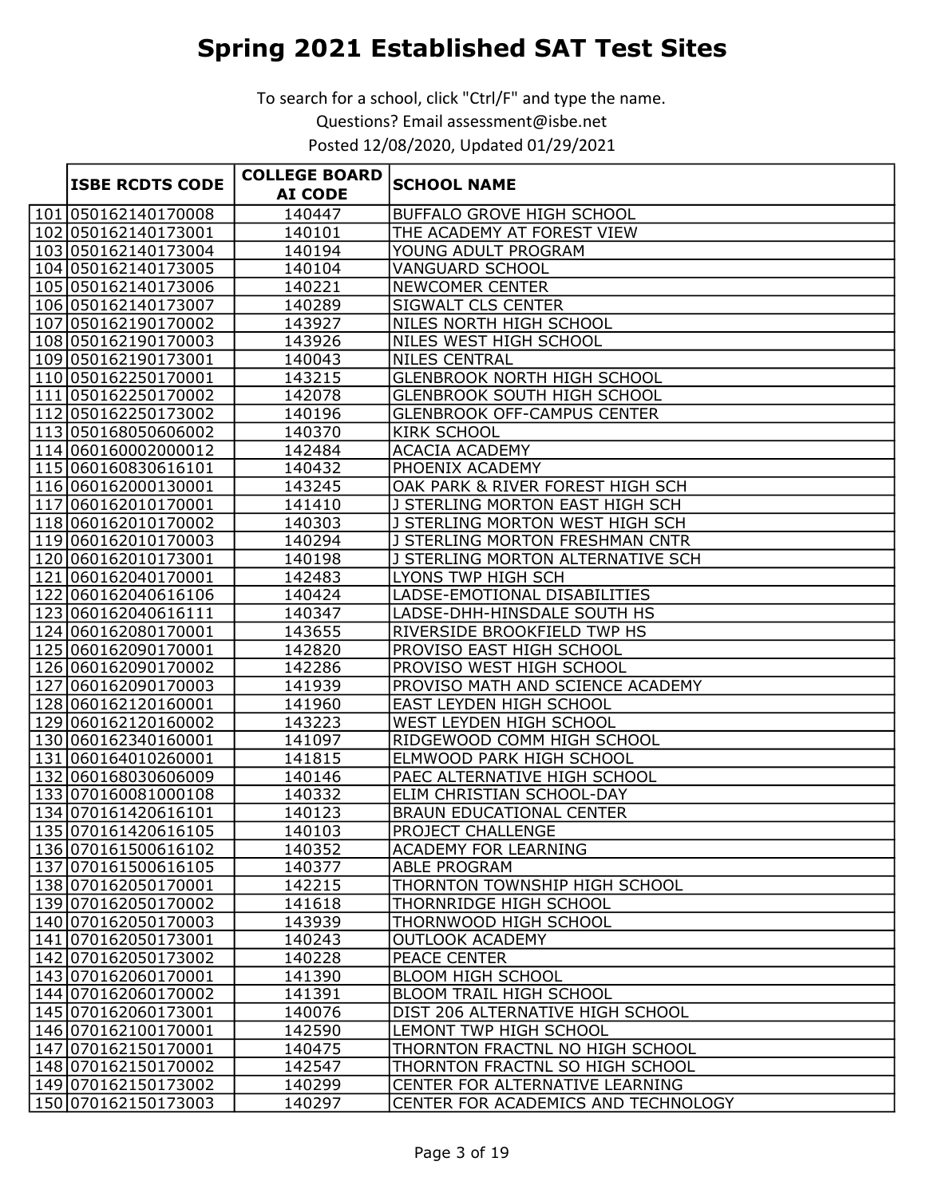|                        | <b>COLLEGE BOARD</b> |                                     |
|------------------------|----------------------|-------------------------------------|
| <b>ISBE RCDTS CODE</b> | <b>AI CODE</b>       | <b>SCHOOL NAME</b>                  |
| 101 050162140170008    | 140447               | <b>BUFFALO GROVE HIGH SCHOOL</b>    |
| 102 050162140173001    | 140101               | THE ACADEMY AT FOREST VIEW          |
| 103 050162140173004    | 140194               | YOUNG ADULT PROGRAM                 |
| 104 050162140173005    | 140104               | <b>VANGUARD SCHOOL</b>              |
| 105 050162140173006    | 140221               | <b>NEWCOMER CENTER</b>              |
| 106 050162140173007    | 140289               | SIGWALT CLS CENTER                  |
| 107 050162190170002    | 143927               | NILES NORTH HIGH SCHOOL             |
| 108 050162190170003    | 143926               | NILES WEST HIGH SCHOOL              |
| 109 050162190173001    | 140043               | <b>NILES CENTRAL</b>                |
| 110 050162250170001    | 143215               | <b>GLENBROOK NORTH HIGH SCHOOL</b>  |
| 111 050162250170002    | 142078               | <b>GLENBROOK SOUTH HIGH SCHOOL</b>  |
| 112 050162250173002    | 140196               | <b>GLENBROOK OFF-CAMPUS CENTER</b>  |
| 113 050168050606002    | 140370               | <b>KIRK SCHOOL</b>                  |
| 114 060160002000012    | 142484               | <b>ACACIA ACADEMY</b>               |
| 115 060160830616101    | 140432               | PHOENIX ACADEMY                     |
| 116 060162000130001    | 143245               | OAK PARK & RIVER FOREST HIGH SCH    |
| 117 060162010170001    | 141410               | J STERLING MORTON EAST HIGH SCH     |
| 118 060162010170002    | 140303               | J STERLING MORTON WEST HIGH SCH     |
| 119 060162010170003    | 140294               | J STERLING MORTON FRESHMAN CNTR     |
| 120 060162010173001    | 140198               | J STERLING MORTON ALTERNATIVE SCH   |
| 121 060162040170001    | 142483               | LYONS TWP HIGH SCH                  |
| 122 060162040616106    | 140424               | LADSE-EMOTIONAL DISABILITIES        |
| 123 060162040616111    | 140347               | LADSE-DHH-HINSDALE SOUTH HS         |
| 124 060162080170001    | 143655               | RIVERSIDE BROOKFIELD TWP HS         |
| 125 060162090170001    | 142820               | PROVISO EAST HIGH SCHOOL            |
| 126 060162090170002    | 142286               | PROVISO WEST HIGH SCHOOL            |
| 127 060162090170003    | 141939               | PROVISO MATH AND SCIENCE ACADEMY    |
| 128 060162120160001    | 141960               | EAST LEYDEN HIGH SCHOOL             |
| 129 060162120160002    | 143223               | WEST LEYDEN HIGH SCHOOL             |
| 130 060162340160001    | 141097               | RIDGEWOOD COMM HIGH SCHOOL          |
| 131 060164010260001    | 141815               | <b>ELMWOOD PARK HIGH SCHOOL</b>     |
| 132 060168030606009    | 140146               | PAEC ALTERNATIVE HIGH SCHOOL        |
| 133 070160081000108    | 140332               | ELIM CHRISTIAN SCHOOL-DAY           |
| 134 070161420616101    | 140123               | <b>BRAUN EDUCATIONAL CENTER</b>     |
| 135 070161420616105    | 140103               | PROJECT CHALLENGE                   |
| 136 070161500616102    | 140352               | <b>ACADEMY FOR LEARNING</b>         |
| 137 070161500616105    | 140377               | <b>ABLE PROGRAM</b>                 |
| 138 070162050170001    | 142215               | THORNTON TOWNSHIP HIGH SCHOOL       |
| 139 070162050170002    | 141618               | THORNRIDGE HIGH SCHOOL              |
| 140 070162050170003    | 143939               | THORNWOOD HIGH SCHOOL               |
| 141 070162050173001    | 140243               | <b>OUTLOOK ACADEMY</b>              |
| 142 070162050173002    | 140228               | PEACE CENTER                        |
| 143 070162060170001    | 141390               | <b>BLOOM HIGH SCHOOL</b>            |
| 144 070162060170002    | 141391               | BLOOM TRAIL HIGH SCHOOL             |
| 145 070162060173001    | 140076               | DIST 206 ALTERNATIVE HIGH SCHOOL    |
| 146 070162100170001    | 142590               | LEMONT TWP HIGH SCHOOL              |
| 147 070162150170001    | 140475               | THORNTON FRACTNL NO HIGH SCHOOL     |
| 148 070162150170002    | 142547               | THORNTON FRACTNL SO HIGH SCHOOL     |
| 149 070162150173002    | 140299               | CENTER FOR ALTERNATIVE LEARNING     |
| 150 070 162150 173003  | 140297               | CENTER FOR ACADEMICS AND TECHNOLOGY |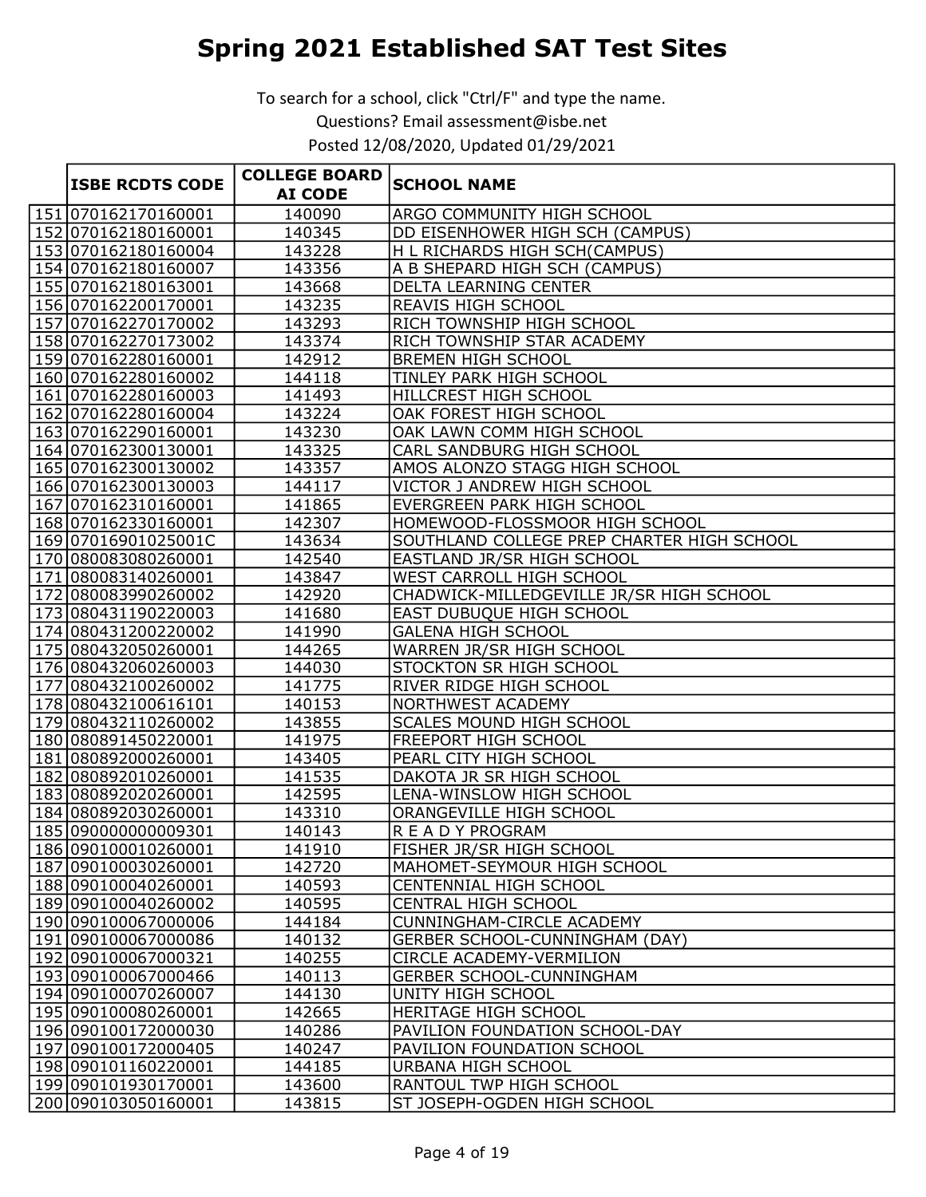|                        | <b>COLLEGE BOARD</b> |                                            |
|------------------------|----------------------|--------------------------------------------|
| <b>ISBE RCDTS CODE</b> | <b>AI CODE</b>       | <b>SCHOOL NAME</b>                         |
| 151 070162170160001    | 140090               | ARGO COMMUNITY HIGH SCHOOL                 |
| 152 070162180160001    | 140345               | DD EISENHOWER HIGH SCH (CAMPUS)            |
| 153 070162180160004    | 143228               | H L RICHARDS HIGH SCH(CAMPUS)              |
| 154 070162180160007    | 143356               | A B SHEPARD HIGH SCH (CAMPUS)              |
| 155 070162180163001    | 143668               | <b>DELTA LEARNING CENTER</b>               |
| 156 070162200170001    | 143235               | REAVIS HIGH SCHOOL                         |
| 157 070162270170002    | 143293               | RICH TOWNSHIP HIGH SCHOOL                  |
| 158 070162270173002    | 143374               | RICH TOWNSHIP STAR ACADEMY                 |
| 159 070162280160001    | 142912               | <b>BREMEN HIGH SCHOOL</b>                  |
| 160 070 162280 160002  | 144118               | TINLEY PARK HIGH SCHOOL                    |
| 161 070162280160003    | 141493               | HILLCREST HIGH SCHOOL                      |
| 162 070162280160004    | 143224               | OAK FOREST HIGH SCHOOL                     |
| 163 070162290160001    | 143230               | OAK LAWN COMM HIGH SCHOOL                  |
| 164 070162300130001    | 143325               | CARL SANDBURG HIGH SCHOOL                  |
| 165 070162300130002    | 143357               | AMOS ALONZO STAGG HIGH SCHOOL              |
| 166 070162300130003    | 144117               | VICTOR J ANDREW HIGH SCHOOL                |
| 167 070162310160001    | 141865               | EVERGREEN PARK HIGH SCHOOL                 |
| 168 070162330160001    | 142307               | HOMEWOOD-FLOSSMOOR HIGH SCHOOL             |
| 169 07016901025001C    | 143634               | SOUTHLAND COLLEGE PREP CHARTER HIGH SCHOOL |
| 170 080083080260001    | 142540               | EASTLAND JR/SR HIGH SCHOOL                 |
| 171 080083140260001    | 143847               | WEST CARROLL HIGH SCHOOL                   |
| 172 080083990260002    | 142920               | CHADWICK-MILLEDGEVILLE JR/SR HIGH SCHOOL   |
| 173 080431190220003    | 141680               | EAST DUBUQUE HIGH SCHOOL                   |
| 174 080431200220002    | 141990               | <b>GALENA HIGH SCHOOL</b>                  |
| 175 080432050260001    | 144265               | WARREN JR/SR HIGH SCHOOL                   |
| 176 080432060260003    | 144030               | STOCKTON SR HIGH SCHOOL                    |
| 177 080432100260002    | 141775               | RIVER RIDGE HIGH SCHOOL                    |
| 178 080432100616101    | 140153               | NORTHWEST ACADEMY                          |
| 179 080432110260002    | 143855               | SCALES MOUND HIGH SCHOOL                   |
| 180 080891450220001    | 141975               | FREEPORT HIGH SCHOOL                       |
| 181 080892000260001    | 143405               | PEARL CITY HIGH SCHOOL                     |
| 182 080892010260001    | 141535               | DAKOTA JR SR HIGH SCHOOL                   |
| 183 080892020260001    | 142595               | LENA-WINSLOW HIGH SCHOOL                   |
| 184 080892030260001    | 143310               | ORANGEVILLE HIGH SCHOOL                    |
| 185 090000000009301    | 140143               | R E A D Y PROGRAM                          |
| 186 090100010260001    | 141910               | FISHER JR/SR HIGH SCHOOL                   |
| 187 090100030260001    | 142720               | MAHOMET-SEYMOUR HIGH SCHOOL                |
| 188 090100040260001    | 140593               | CENTENNIAL HIGH SCHOOL                     |
| 189 090100040260002    | 140595               | CENTRAL HIGH SCHOOL                        |
| 190 090100067000006    | 144184               | <b>CUNNINGHAM-CIRCLE ACADEMY</b>           |
| 191 090100067000086    | 140132               | <b>GERBER SCHOOL-CUNNINGHAM (DAY)</b>      |
| 192 090100067000321    | 140255               | CIRCLE ACADEMY-VERMILION                   |
| 193 090100067000466    | 140113               | GERBER SCHOOL-CUNNINGHAM                   |
| 194 090100070260007    | 144130               | UNITY HIGH SCHOOL                          |
| 195 090100080260001    | 142665               | HERITAGE HIGH SCHOOL                       |
| 196 090100172000030    | 140286               | PAVILION FOUNDATION SCHOOL-DAY             |
| 197 090100172000405    | 140247               | PAVILION FOUNDATION SCHOOL                 |
| 198 090101160220001    | 144185               | URBANA HIGH SCHOOL                         |
| 199 090101930170001    | 143600               | RANTOUL TWP HIGH SCHOOL                    |
| 200 090103050160001    | 143815               | ST JOSEPH-OGDEN HIGH SCHOOL                |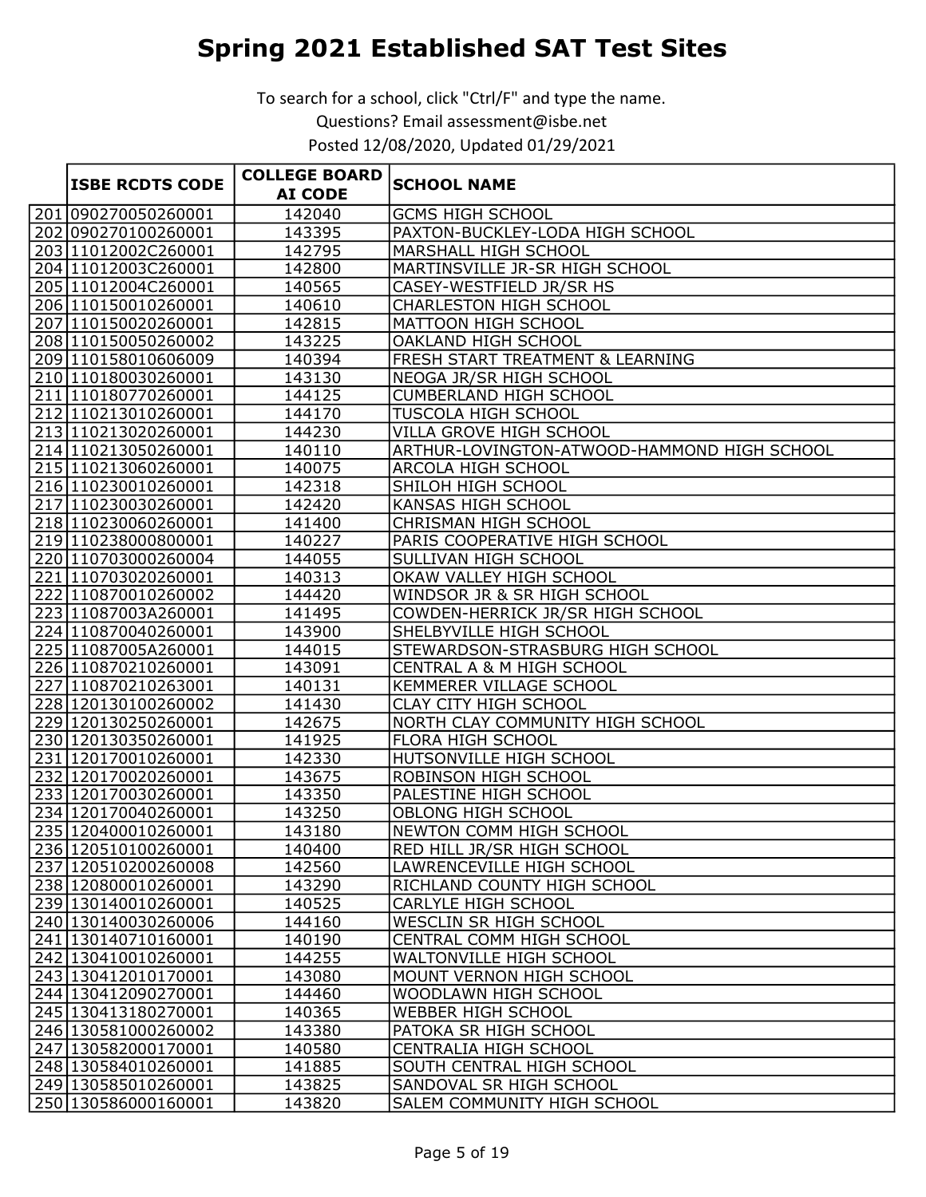|                        | <b>COLLEGE BOARD</b> |                                             |
|------------------------|----------------------|---------------------------------------------|
| <b>ISBE RCDTS CODE</b> | <b>AI CODE</b>       | <b>SCHOOL NAME</b>                          |
| 201 090270050260001    | 142040               | <b>GCMS HIGH SCHOOL</b>                     |
| 202 090270100260001    | 143395               | PAXTON-BUCKLEY-LODA HIGH SCHOOL             |
| 203 11012002C260001    | 142795               | MARSHALL HIGH SCHOOL                        |
| 204 11012003C260001    | 142800               | MARTINSVILLE JR-SR HIGH SCHOOL              |
| 205 1012004C260001     | 140565               | CASEY-WESTFIELD JR/SR HS                    |
| 206 110150010260001    | 140610               | <b>CHARLESTON HIGH SCHOOL</b>               |
| 207 110150020260001    | 142815               | MATTOON HIGH SCHOOL                         |
| 208 110150050260002    | 143225               | <b>OAKLAND HIGH SCHOOL</b>                  |
| 209 10158010606009     | 140394               | FRESH START TREATMENT & LEARNING            |
| 210110180030260001     | 143130               | NEOGA JR/SR HIGH SCHOOL                     |
| 211 10180770260001     | 144125               | <b>CUMBERLAND HIGH SCHOOL</b>               |
| 212110213010260001     | 144170               | <b>TUSCOLA HIGH SCHOOL</b>                  |
| 213 110213020260001    | 144230               | VILLA GROVE HIGH SCHOOL                     |
| 214 110213050260001    | 140110               | ARTHUR-LOVINGTON-ATWOOD-HAMMOND HIGH SCHOOL |
| 215 110213060260001    | 140075               | ARCOLA HIGH SCHOOL                          |
| 216 110230010260001    | 142318               | SHILOH HIGH SCHOOL                          |
| 217 110230030260001    | 142420               | <b>KANSAS HIGH SCHOOL</b>                   |
| 218 110230060260001    | 141400               | CHRISMAN HIGH SCHOOL                        |
| 219 110238000800001    | 140227               | PARIS COOPERATIVE HIGH SCHOOL               |
| 220110703000260004     | 144055               | SULLIVAN HIGH SCHOOL                        |
| 221 110703020260001    | 140313               | OKAW VALLEY HIGH SCHOOL                     |
| 222110870010260002     | 144420               | WINDSOR JR & SR HIGH SCHOOL                 |
| 223 11087003A260001    | 141495               | COWDEN-HERRICK JR/SR HIGH SCHOOL            |
| 224 110870040260001    | 143900               | SHELBYVILLE HIGH SCHOOL                     |
| 225 1087005A260001     | 144015               | STEWARDSON-STRASBURG HIGH SCHOOL            |
| 226 110870210260001    | 143091               | CENTRAL A & M HIGH SCHOOL                   |
| 227 110870210263001    | 140131               | <b>KEMMERER VILLAGE SCHOOL</b>              |
| 228 120130100260002    | 141430               | CLAY CITY HIGH SCHOOL                       |
| 229 120130250260001    | 142675               | NORTH CLAY COMMUNITY HIGH SCHOOL            |
| 230 120130350260001    | 141925               | FLORA HIGH SCHOOL                           |
| 231 120170010260001    | 142330               | HUTSONVILLE HIGH SCHOOL                     |
| 232 120170020260001    | 143675               | ROBINSON HIGH SCHOOL                        |
| 233 120170030260001    | 143350               | PALESTINE HIGH SCHOOL                       |
| 234 120170040260001    | 143250               | <b>OBLONG HIGH SCHOOL</b>                   |
| 235 120400010260001    | 143180               | NEWTON COMM HIGH SCHOOL                     |
| 236 120510100260001    | 140400               | <b>RED HILL JR/SR HIGH SCHOOL</b>           |
| 237 120510200260008    | 142560               | LAWRENCEVILLE HIGH SCHOOL                   |
| 238 120800010260001    | 143290               | RICHLAND COUNTY HIGH SCHOOL                 |
| 239 130140010260001    | 140525               | <b>CARLYLE HIGH SCHOOL</b>                  |
| 240 130140030260006    | 144160               | WESCLIN SR HIGH SCHOOL                      |
| 241 130140710160001    | 140190               | CENTRAL COMM HIGH SCHOOL                    |
| 242 130410010260001    | 144255               | WALTONVILLE HIGH SCHOOL                     |
| 243 130412010170001    | 143080               | MOUNT VERNON HIGH SCHOOL                    |
| 244 130412090270001    | 144460               | WOODLAWN HIGH SCHOOL                        |
| 245 130413180270001    | 140365               | WEBBER HIGH SCHOOL                          |
| 246 130581000260002    | 143380               | PATOKA SR HIGH SCHOOL                       |
| 247 130582000170001    | 140580               | CENTRALIA HIGH SCHOOL                       |
| 248 130584010260001    | 141885               | SOUTH CENTRAL HIGH SCHOOL                   |
| 249 130585010260001    | 143825               | SANDOVAL SR HIGH SCHOOL                     |
| 250 130586000160001    | 143820               | SALEM COMMUNITY HIGH SCHOOL                 |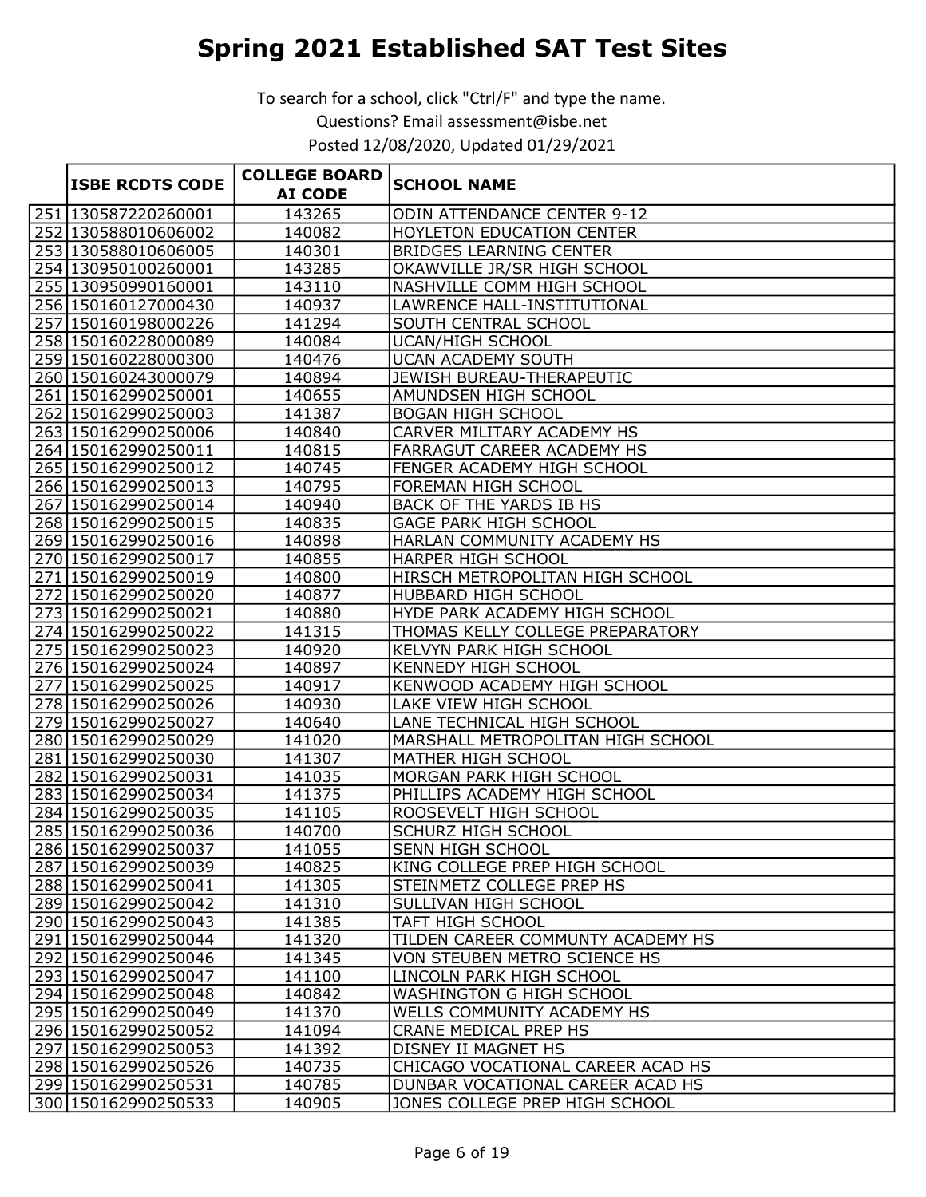|                        | <b>COLLEGE BOARD</b> |                                    |
|------------------------|----------------------|------------------------------------|
| <b>ISBE RCDTS CODE</b> | <b>AI CODE</b>       | <b>SCHOOL NAME</b>                 |
| 251 130587220260001    | 143265               | <b>ODIN ATTENDANCE CENTER 9-12</b> |
| 252 130588010606002    | 140082               | <b>HOYLETON EDUCATION CENTER</b>   |
| 253 130588010606005    | 140301               | <b>BRIDGES LEARNING CENTER</b>     |
| 254 130950100260001    | 143285               | OKAWVILLE JR/SR HIGH SCHOOL        |
| 255 130950990160001    | 143110               | NASHVILLE COMM HIGH SCHOOL         |
| 256 150160127000430    | 140937               | LAWRENCE HALL-INSTITUTIONAL        |
| 257 150160198000226    | 141294               | SOUTH CENTRAL SCHOOL               |
| 258 150160228000089    | 140084               | <b>UCAN/HIGH SCHOOL</b>            |
| 259 150160228000300    | 140476               | <b>UCAN ACADEMY SOUTH</b>          |
| 260 150160243000079    | 140894               | JEWISH BUREAU-THERAPEUTIC          |
| 261 150162990250001    | 140655               | AMUNDSEN HIGH SCHOOL               |
| 262 150162990250003    | 141387               | <b>BOGAN HIGH SCHOOL</b>           |
| 263 150162990250006    | 140840               | CARVER MILITARY ACADEMY HS         |
| 264 150162990250011    | 140815               | <b>FARRAGUT CAREER ACADEMY HS</b>  |
| 265 150162990250012    | 140745               | FENGER ACADEMY HIGH SCHOOL         |
| 266 150162990250013    | 140795               | FOREMAN HIGH SCHOOL                |
| 267 150162990250014    | 140940               | BACK OF THE YARDS IB HS            |
| 268 150162990250015    | 140835               | <b>GAGE PARK HIGH SCHOOL</b>       |
| 269 150162990250016    | 140898               | HARLAN COMMUNITY ACADEMY HS        |
| 270 150162990250017    | 140855               | <b>HARPER HIGH SCHOOL</b>          |
| 271 150162990250019    | 140800               | HIRSCH METROPOLITAN HIGH SCHOOL    |
| 272 150162990250020    | 140877               | HUBBARD HIGH SCHOOL                |
| 273 150162990250021    | 140880               | HYDE PARK ACADEMY HIGH SCHOOL      |
| 274 150162990250022    | 141315               | THOMAS KELLY COLLEGE PREPARATORY   |
| 275 150162990250023    | 140920               | <b>KELVYN PARK HIGH SCHOOL</b>     |
| 276 150162990250024    | 140897               | <b>KENNEDY HIGH SCHOOL</b>         |
| 277 150162990250025    | 140917               | KENWOOD ACADEMY HIGH SCHOOL        |
| 278 150162990250026    | 140930               | LAKE VIEW HIGH SCHOOL              |
| 279 150162990250027    | 140640               | LANE TECHNICAL HIGH SCHOOL         |
| 280 150162990250029    | 141020               | MARSHALL METROPOLITAN HIGH SCHOOL  |
| 281 150162990250030    | 141307               | <b>MATHER HIGH SCHOOL</b>          |
| 282 150162990250031    | 141035               | MORGAN PARK HIGH SCHOOL            |
| 283 150162990250034    | 141375               | PHILLIPS ACADEMY HIGH SCHOOL       |
| 284 150162990250035    | 141105               | ROOSEVELT HIGH SCHOOL              |
| 285 150162990250036    | 140700               | <b>SCHURZ HIGH SCHOOL</b>          |
| 286 150162990250037    | 141055               | <b>SENN HIGH SCHOOL</b>            |
| 287 150162990250039    | 140825               | KING COLLEGE PREP HIGH SCHOOL      |
| 288 150162990250041    | 141305               | STEINMETZ COLLEGE PREP HS          |
| 289 150162990250042    | 141310               | SULLIVAN HIGH SCHOOL               |
| 290 150162990250043    | 141385               | TAFT HIGH SCHOOL                   |
| 291 150162990250044    | 141320               | TILDEN CAREER COMMUNTY ACADEMY HS  |
| 292 150162990250046    | 141345               | VON STEUBEN METRO SCIENCE HS       |
| 293 150162990250047    | 141100               | LINCOLN PARK HIGH SCHOOL           |
| 294 150162990250048    | 140842               | <b>WASHINGTON G HIGH SCHOOL</b>    |
| 295 150162990250049    | 141370               | WELLS COMMUNITY ACADEMY HS         |
| 296 150162990250052    | 141094               | CRANE MEDICAL PREP HS              |
| 297 150162990250053    | 141392               | DISNEY II MAGNET HS                |
| 298 150162990250526    | 140735               | CHICAGO VOCATIONAL CAREER ACAD HS  |
| 299 150162990250531    | 140785               | DUNBAR VOCATIONAL CAREER ACAD HS   |
| 300 150162990250533    | 140905               | JONES COLLEGE PREP HIGH SCHOOL     |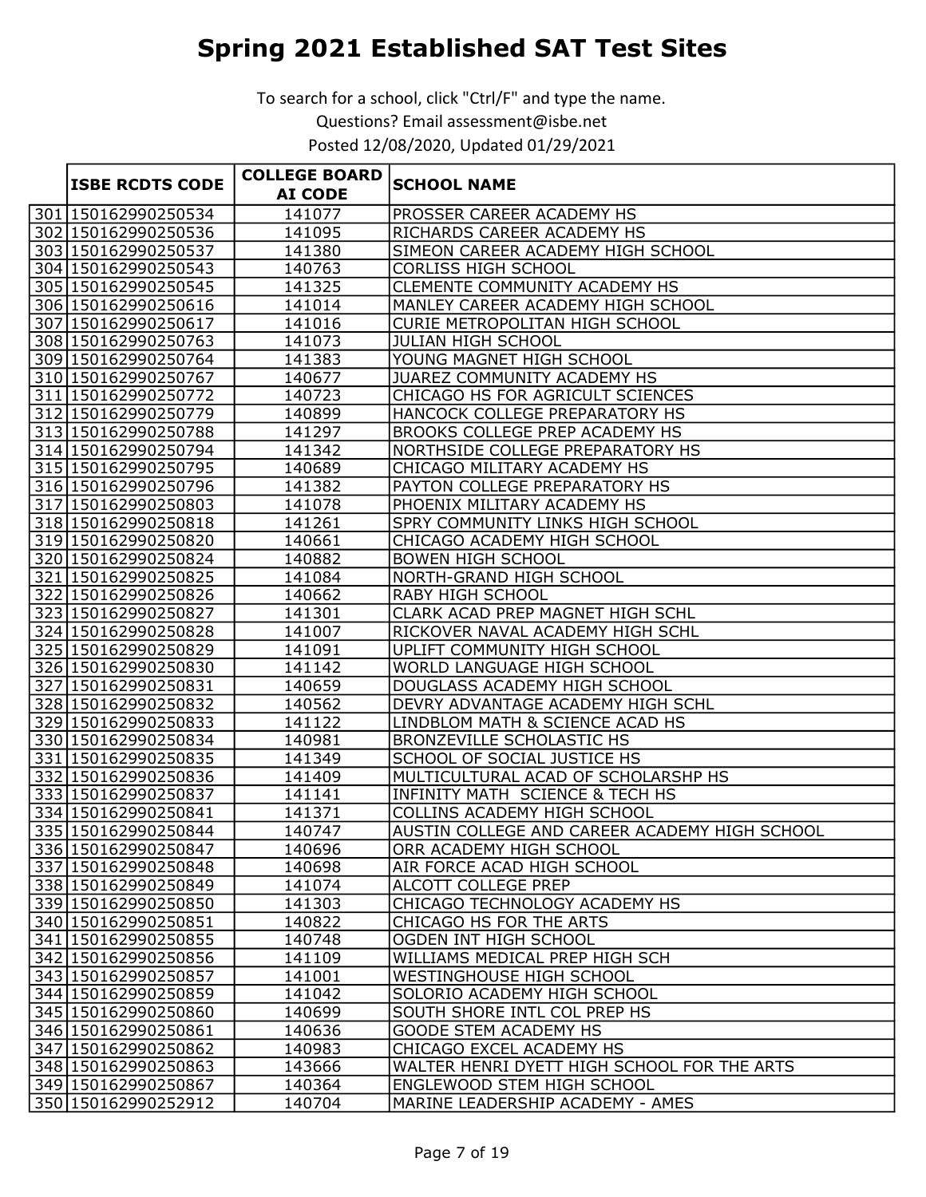|                        | <b>COLLEGE BOARD</b> |                                               |
|------------------------|----------------------|-----------------------------------------------|
| <b>ISBE RCDTS CODE</b> | <b>AI CODE</b>       | <b>SCHOOL NAME</b>                            |
| 301 150162990250534    | 141077               | PROSSER CAREER ACADEMY HS                     |
| 302 150162990250536    | 141095               | RICHARDS CAREER ACADEMY HS                    |
| 303 150162990250537    | 141380               | SIMEON CAREER ACADEMY HIGH SCHOOL             |
| 304 150162990250543    | 140763               | <b>CORLISS HIGH SCHOOL</b>                    |
| 305 150162990250545    | 141325               | CLEMENTE COMMUNITY ACADEMY HS                 |
| 306 150162990250616    | 141014               | MANLEY CAREER ACADEMY HIGH SCHOOL             |
| 307 150162990250617    | 141016               | CURIE METROPOLITAN HIGH SCHOOL                |
| 308 150162990250763    | 141073               | <b>JULIAN HIGH SCHOOL</b>                     |
| 309 150162990250764    | 141383               | YOUNG MAGNET HIGH SCHOOL                      |
| 310 150162990250767    | 140677               | JUAREZ COMMUNITY ACADEMY HS                   |
| 311 150162990250772    | 140723               | CHICAGO HS FOR AGRICULT SCIENCES              |
| 312 150162990250779    | 140899               | HANCOCK COLLEGE PREPARATORY HS                |
| 313 150162990250788    | 141297               | BROOKS COLLEGE PREP ACADEMY HS                |
| 314 150162990250794    | 141342               | NORTHSIDE COLLEGE PREPARATORY HS              |
| 315 150162990250795    | 140689               | CHICAGO MILITARY ACADEMY HS                   |
| 316 150162990250796    | 141382               | PAYTON COLLEGE PREPARATORY HS                 |
| 317 150162990250803    | 141078               | PHOENIX MILITARY ACADEMY HS                   |
| 318 150162990250818    | 141261               | SPRY COMMUNITY LINKS HIGH SCHOOL              |
| 319 150162990250820    | 140661               | CHICAGO ACADEMY HIGH SCHOOL                   |
| 320 150162990250824    | 140882               | <b>BOWEN HIGH SCHOOL</b>                      |
| 321 150162990250825    | 141084               | NORTH-GRAND HIGH SCHOOL                       |
| 322 150162990250826    | 140662               | <b>RABY HIGH SCHOOL</b>                       |
| 323 150162990250827    | 141301               | CLARK ACAD PREP MAGNET HIGH SCHL              |
| 324 150162990250828    | 141007               | RICKOVER NAVAL ACADEMY HIGH SCHL              |
| 325 150162990250829    | 141091               | UPLIFT COMMUNITY HIGH SCHOOL                  |
| 326 150162990250830    | 141142               | WORLD LANGUAGE HIGH SCHOOL                    |
| 327 150162990250831    | 140659               | DOUGLASS ACADEMY HIGH SCHOOL                  |
| 328 150162990250832    | 140562               | DEVRY ADVANTAGE ACADEMY HIGH SCHL             |
| 329 150162990250833    | 141122               | LINDBLOM MATH & SCIENCE ACAD HS               |
| 330 150162990250834    | 140981               | <b>BRONZEVILLE SCHOLASTIC HS</b>              |
| 331 150162990250835    | 141349               | SCHOOL OF SOCIAL JUSTICE HS                   |
| 332 150162990250836    | 141409               | MULTICULTURAL ACAD OF SCHOLARSHP HS           |
| 333 150162990250837    | 141141               | INFINITY MATH SCIENCE & TECH HS               |
| 334 150162990250841    | 141371               | COLLINS ACADEMY HIGH SCHOOL                   |
| 335 150162990250844    | 140747               | AUSTIN COLLEGE AND CAREER ACADEMY HIGH SCHOOL |
| 336 150162990250847    | 140696               | ORR ACADEMY HIGH SCHOOL                       |
| 337 150162990250848    | 140698               | AIR FORCE ACAD HIGH SCHOOL                    |
| 338 150162990250849    | 141074               | ALCOTT COLLEGE PREP                           |
| 339 150162990250850    | 141303               | CHICAGO TECHNOLOGY ACADEMY HS                 |
| 340 150162990250851    | 140822               | CHICAGO HS FOR THE ARTS                       |
| 341 150162990250855    | 140748               | OGDEN INT HIGH SCHOOL                         |
| 342 150162990250856    | 141109               | WILLIAMS MEDICAL PREP HIGH SCH                |
| 343 150162990250857    | 141001               | WESTINGHOUSE HIGH SCHOOL                      |
| 344 150162990250859    | 141042               | SOLORIO ACADEMY HIGH SCHOOL                   |
| 345 150162990250860    | 140699               | SOUTH SHORE INTL COL PREP HS                  |
| 346 150162990250861    | 140636               | <b>GOODE STEM ACADEMY HS</b>                  |
| 347 150162990250862    | 140983               | CHICAGO EXCEL ACADEMY HS                      |
| 348 150162990250863    | 143666               | WALTER HENRI DYETT HIGH SCHOOL FOR THE ARTS   |
| 349 150162990250867    | 140364               | ENGLEWOOD STEM HIGH SCHOOL                    |
| 350 150162990252912    | 140704               | MARINE LEADERSHIP ACADEMY - AMES              |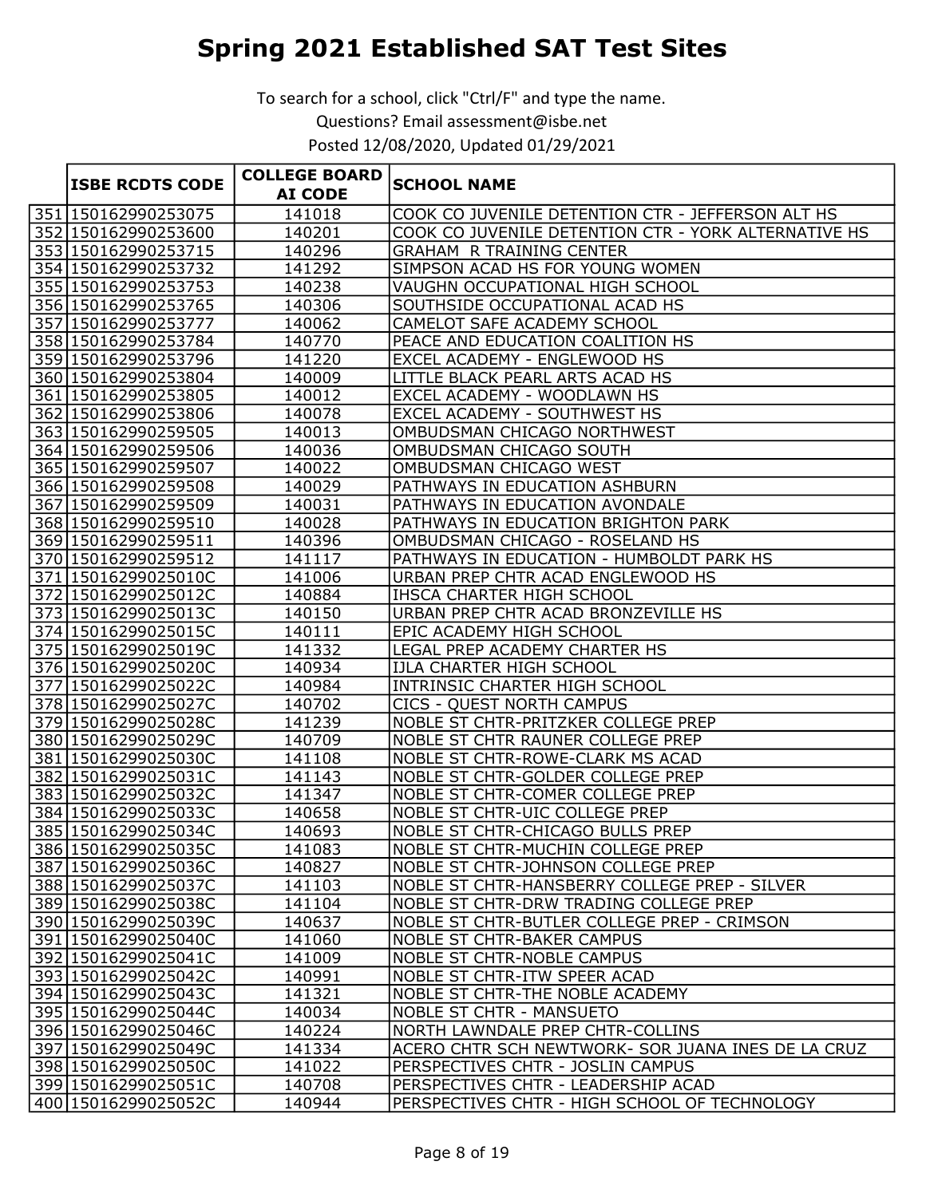|                        | <b>COLLEGE BOARD</b> |                                                      |
|------------------------|----------------------|------------------------------------------------------|
| <b>ISBE RCDTS CODE</b> | <b>AI CODE</b>       | <b>SCHOOL NAME</b>                                   |
| 351 150162990253075    | 141018               | COOK CO JUVENILE DETENTION CTR - JEFFERSON ALT HS    |
| 352 150162990253600    | 140201               | COOK CO JUVENILE DETENTION CTR - YORK ALTERNATIVE HS |
| 353 150162990253715    | 140296               | <b>GRAHAM R TRAINING CENTER</b>                      |
| 354 150162990253732    | 141292               | SIMPSON ACAD HS FOR YOUNG WOMEN                      |
| 355 150162990253753    | 140238               | VAUGHN OCCUPATIONAL HIGH SCHOOL                      |
| 356 150162990253765    | 140306               | SOUTHSIDE OCCUPATIONAL ACAD HS                       |
| 357 150162990253777    | 140062               | CAMELOT SAFE ACADEMY SCHOOL                          |
| 358 150162990253784    | 140770               | PEACE AND EDUCATION COALITION HS                     |
| 359 150162990253796    | 141220               | EXCEL ACADEMY - ENGLEWOOD HS                         |
| 360 150162990253804    | 140009               | LITTLE BLACK PEARL ARTS ACAD HS                      |
| 361 150162990253805    | 140012               | EXCEL ACADEMY - WOODLAWN HS                          |
| 362 150162990253806    | 140078               | <b>EXCEL ACADEMY - SOUTHWEST HS</b>                  |
| 363 150162990259505    | 140013               | OMBUDSMAN CHICAGO NORTHWEST                          |
| 364 150162990259506    | 140036               | OMBUDSMAN CHICAGO SOUTH                              |
| 365 150162990259507    | 140022               | OMBUDSMAN CHICAGO WEST                               |
| 366 150162990259508    | 140029               | PATHWAYS IN EDUCATION ASHBURN                        |
| 367 150162990259509    | 140031               | PATHWAYS IN EDUCATION AVONDALE                       |
| 368 150162990259510    | 140028               | PATHWAYS IN EDUCATION BRIGHTON PARK                  |
| 369 150162990259511    | 140396               | OMBUDSMAN CHICAGO - ROSELAND HS                      |
| 370 150162990259512    | 141117               | PATHWAYS IN EDUCATION - HUMBOLDT PARK HS             |
| 371 15016299025010C    | 141006               | URBAN PREP CHTR ACAD ENGLEWOOD HS                    |
| 372 15016299025012C    | 140884               | IHSCA CHARTER HIGH SCHOOL                            |
| 373 15016299025013C    | 140150               | URBAN PREP CHTR ACAD BRONZEVILLE HS                  |
| 374 15016299025015C    | 140111               | EPIC ACADEMY HIGH SCHOOL                             |
| 375 15016299025019C    | 141332               | LEGAL PREP ACADEMY CHARTER HS                        |
| 376 15016299025020C    | 140934               | IJLA CHARTER HIGH SCHOOL                             |
| 377 15016299025022C    | 140984               | INTRINSIC CHARTER HIGH SCHOOL                        |
| 378 15016299025027C    | 140702               | <b>CICS - QUEST NORTH CAMPUS</b>                     |
| 379 15016299025028C    | 141239               | NOBLE ST CHTR-PRITZKER COLLEGE PREP                  |
| 380 15016299025029C    | 140709               | <b>NOBLE ST CHTR RAUNER COLLEGE PREP</b>             |
| 381 15016299025030C    | 141108               | <b>NOBLE ST CHTR-ROWE-CLARK MS ACAD</b>              |
| 382 15016299025031C    | 141143               | <b>NOBLE ST CHTR-GOLDER COLLEGE PREP</b>             |
| 383 15016299025032C    | 141347               | <b>NOBLE ST CHTR-COMER COLLEGE PREP</b>              |
| 384 15016299025033C    | 140658               | <b>NOBLE ST CHTR-UIC COLLEGE PREP</b>                |
| 385 15016299025034C    | 140693               | <b>NOBLE ST CHTR-CHICAGO BULLS PREP</b>              |
| 386 15016299025035C    | 141083               | <b>NOBLE ST CHTR-MUCHIN COLLEGE PREP</b>             |
| 387 15016299025036C    | 140827               | NOBLE ST CHTR-JOHNSON COLLEGE PREP                   |
| 388 15016299025037C    | 141103               | NOBLE ST CHTR-HANSBERRY COLLEGE PREP - SILVER        |
| 389 15016299025038C    | 141104               | NOBLE ST CHTR-DRW TRADING COLLEGE PREP               |
| 390 15016299025039C    | 140637               | NOBLE ST CHTR-BUTLER COLLEGE PREP - CRIMSON          |
| 391 15016299025040C    | 141060               | <b>NOBLE ST CHTR-BAKER CAMPUS</b>                    |
| 392 15016299025041C    | 141009               | <b>NOBLE ST CHTR-NOBLE CAMPUS</b>                    |
| 393 15016299025042C    | 140991               | <b>NOBLE ST CHTR-ITW SPEER ACAD</b>                  |
| 394 15016299025043C    | 141321               | NOBLE ST CHTR-THE NOBLE ACADEMY                      |
| 395 15016299025044C    | 140034               | <b>NOBLE ST CHTR - MANSUETO</b>                      |
| 396 15016299025046C    | 140224               | NORTH LAWNDALE PREP CHTR-COLLINS                     |
| 397 15016299025049C    | 141334               | ACERO CHTR SCH NEWTWORK- SOR JUANA INES DE LA CRUZ   |
| 398 15016299025050C    | 141022               | PERSPECTIVES CHTR - JOSLIN CAMPUS                    |
| 399 15016299025051C    | 140708               | PERSPECTIVES CHTR - LEADERSHIP ACAD                  |
| 400 15016299025052C    | 140944               | PERSPECTIVES CHTR - HIGH SCHOOL OF TECHNOLOGY        |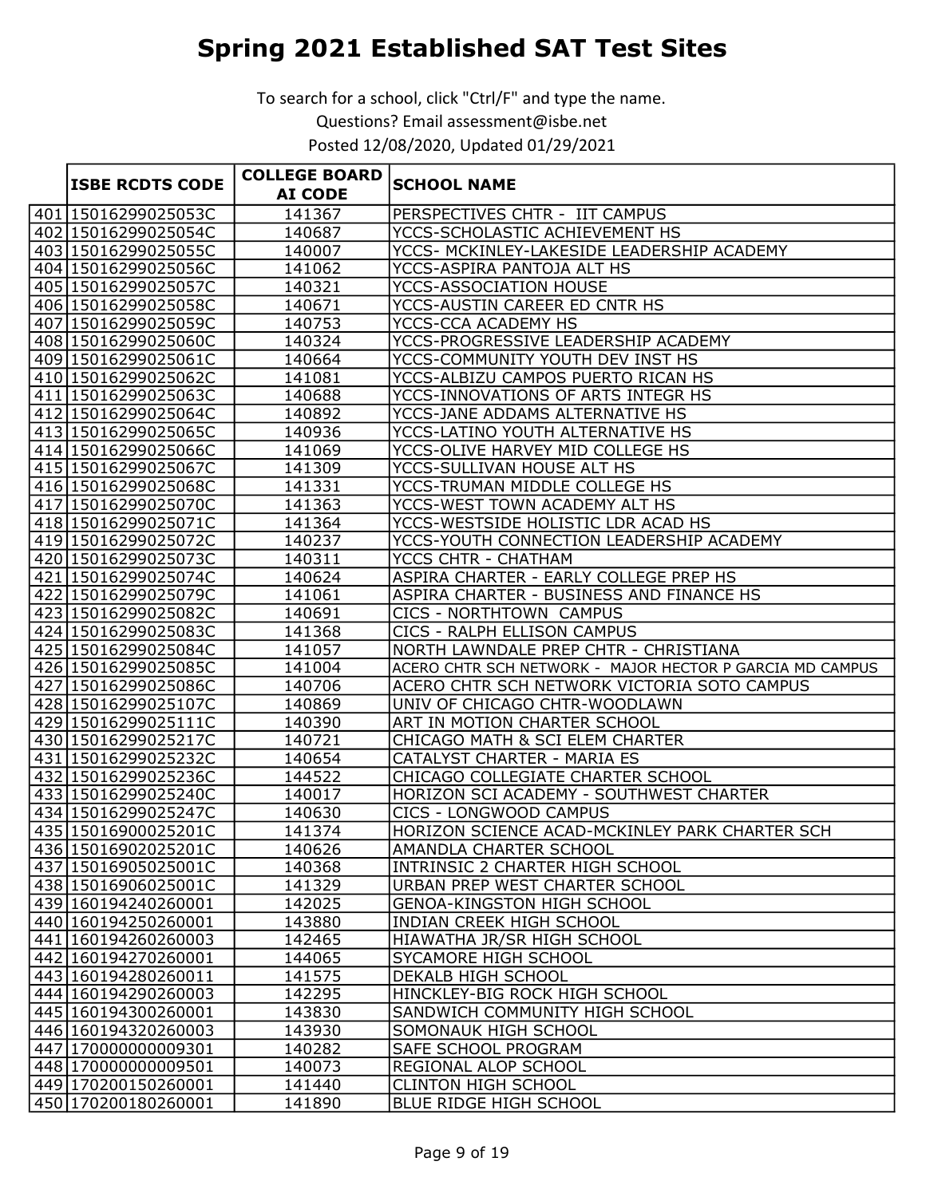| <b>ISBE RCDTS CODE</b> | <b>COLLEGE BOARD</b><br><b>AI CODE</b> | <b>SCHOOL NAME</b>                                       |
|------------------------|----------------------------------------|----------------------------------------------------------|
| 401 15016299025053C    | 141367                                 | PERSPECTIVES CHTR - IIT CAMPUS                           |
| 402 15016299025054C    | 140687                                 | YCCS-SCHOLASTIC ACHIEVEMENT HS                           |
| 403 15016299025055C    | 140007                                 | YCCS- MCKINLEY-LAKESIDE LEADERSHIP ACADEMY               |
| 404 15016299025056C    | 141062                                 | YCCS-ASPIRA PANTOJA ALT HS                               |
| 405 15016299025057C    | 140321                                 | YCCS-ASSOCIATION HOUSE                                   |
| 406 15016299025058C    | 140671                                 | YCCS-AUSTIN CAREER ED CNTR HS                            |
| 407 15016299025059C    | 140753                                 | YCCS-CCA ACADEMY HS                                      |
| 408 15016299025060C    | 140324                                 | YCCS-PROGRESSIVE LEADERSHIP ACADEMY                      |
| 409 15016299025061C    | 140664                                 | YCCS-COMMUNITY YOUTH DEV INST HS                         |
| 410 15016299025062C    | 141081                                 | YCCS-ALBIZU CAMPOS PUERTO RICAN HS                       |
| 411 15016299025063C    | 140688                                 | YCCS-INNOVATIONS OF ARTS INTEGR HS                       |
| 412 15016299025064C    | 140892                                 | YCCS-JANE ADDAMS ALTERNATIVE HS                          |
| 413 15016299025065C    | 140936                                 | YCCS-LATINO YOUTH ALTERNATIVE HS                         |
| 414 15016299025066C    | 141069                                 | YCCS-OLIVE HARVEY MID COLLEGE HS                         |
| 415 15016299025067C    | 141309                                 | YCCS-SULLIVAN HOUSE ALT HS                               |
| 416 15016299025068C    | 141331                                 | YCCS-TRUMAN MIDDLE COLLEGE HS                            |
| 417 15016299025070C    | 141363                                 | YCCS-WEST TOWN ACADEMY ALT HS                            |
| 418 15016299025071C    | 141364                                 | YCCS-WESTSIDE HOLISTIC LDR ACAD HS                       |
| 419 15016299025072C    | 140237                                 | YCCS-YOUTH CONNECTION LEADERSHIP ACADEMY                 |
| 420 15016299025073C    | 140311                                 | YCCS CHTR - CHATHAM                                      |
| 421 15016299025074C    | 140624                                 | ASPIRA CHARTER - EARLY COLLEGE PREP HS                   |
| 422 15016299025079C    | 141061                                 | ASPIRA CHARTER - BUSINESS AND FINANCE HS                 |
| 423 15016299025082C    | 140691                                 | CICS - NORTHTOWN CAMPUS                                  |
| 424 15016299025083C    | 141368                                 | CICS - RALPH ELLISON CAMPUS                              |
| 425 15016299025084C    | 141057                                 | NORTH LAWNDALE PREP CHTR - CHRISTIANA                    |
| 426 15016299025085C    | 141004                                 | ACERO CHTR SCH NETWORK - MAJOR HECTOR P GARCIA MD CAMPUS |
| 427 15016299025086C    | 140706                                 | ACERO CHTR SCH NETWORK VICTORIA SOTO CAMPUS              |
| 428 15016299025107C    | 140869                                 | UNIV OF CHICAGO CHTR-WOODLAWN                            |
| 429 15016299025111C    | 140390                                 | ART IN MOTION CHARTER SCHOOL                             |
| 430 15016299025217C    | 140721                                 | CHICAGO MATH & SCI ELEM CHARTER                          |
| 431 15016299025232C    | 140654                                 | <b>CATALYST CHARTER - MARIA ES</b>                       |
| 432 15016299025236C    | 144522                                 | CHICAGO COLLEGIATE CHARTER SCHOOL                        |
| 433 15016299025240C    | 140017                                 | HORIZON SCI ACADEMY - SOUTHWEST CHARTER                  |
| 434 15016299025247C    | 140630                                 | <b>CICS - LONGWOOD CAMPUS</b>                            |
| 435 15016900025201C    | 141374                                 | HORIZON SCIENCE ACAD-MCKINLEY PARK CHARTER SCH           |
| 436 15016902025201C    | 140626                                 | AMANDLA CHARTER SCHOOL                                   |
| 437 15016905025001C    | 140368                                 | INTRINSIC 2 CHARTER HIGH SCHOOL                          |
| 438 15016906025001C    | 141329                                 | URBAN PREP WEST CHARTER SCHOOL                           |
| 439 160194240260001    | 142025                                 | <b>GENOA-KINGSTON HIGH SCHOOL</b>                        |
| 440 160194250260001    | 143880                                 | INDIAN CREEK HIGH SCHOOL                                 |
| 441 160194260260003    | 142465                                 | HIAWATHA JR/SR HIGH SCHOOL                               |
| 442 160194270260001    | 144065                                 | SYCAMORE HIGH SCHOOL                                     |
| 443 160194280260011    | 141575                                 | DEKALB HIGH SCHOOL                                       |
| 444 160194290260003    | 142295                                 | HINCKLEY-BIG ROCK HIGH SCHOOL                            |
| 445 160194300260001    | 143830                                 | SANDWICH COMMUNITY HIGH SCHOOL                           |
| 446 160194320260003    | 143930                                 | SOMONAUK HIGH SCHOOL                                     |
| 447 170000000009301    | 140282                                 | SAFE SCHOOL PROGRAM                                      |
| 448 170000000009501    | 140073                                 | REGIONAL ALOP SCHOOL                                     |
| 449 170200150260001    | 141440                                 | <b>CLINTON HIGH SCHOOL</b>                               |
| 450 170200180260001    | 141890                                 | BLUE RIDGE HIGH SCHOOL                                   |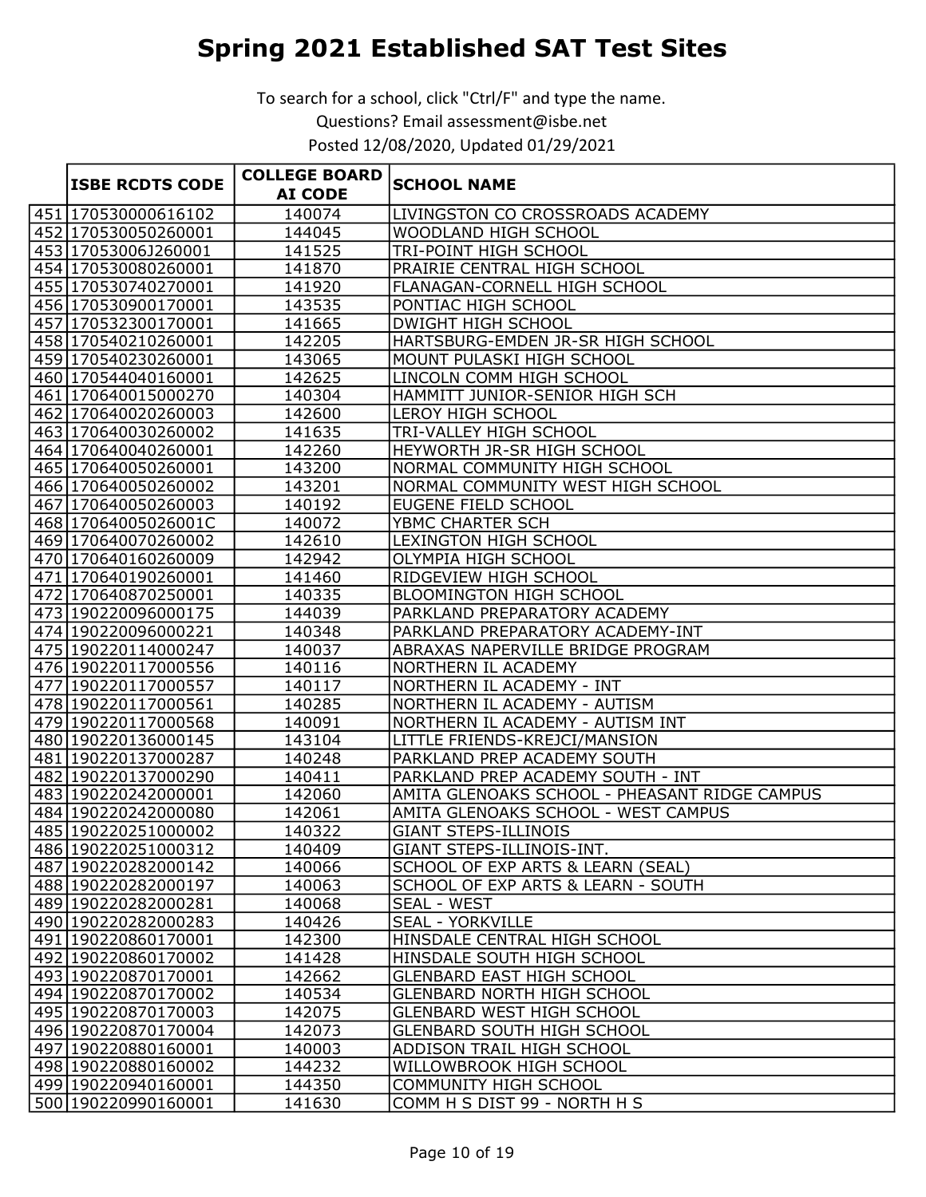|                        | <b>COLLEGE BOARD</b> |                                               |
|------------------------|----------------------|-----------------------------------------------|
| <b>ISBE RCDTS CODE</b> | <b>AI CODE</b>       | <b>SCHOOL NAME</b>                            |
| 451 170530000616102    | 140074               | LIVINGSTON CO CROSSROADS ACADEMY              |
| 452 170530050260001    | 144045               | WOODLAND HIGH SCHOOL                          |
| 453 17053006J260001    | 141525               | TRI-POINT HIGH SCHOOL                         |
| 454 170530080260001    | 141870               | PRAIRIE CENTRAL HIGH SCHOOL                   |
| 455 170530740270001    | 141920               | FLANAGAN-CORNELL HIGH SCHOOL                  |
| 456 170530900170001    | 143535               | PONTIAC HIGH SCHOOL                           |
| 457 170532300170001    | 141665               | <b>DWIGHT HIGH SCHOOL</b>                     |
| 458 170540210260001    | 142205               | HARTSBURG-EMDEN JR-SR HIGH SCHOOL             |
| 459 170540230260001    | 143065               | MOUNT PULASKI HIGH SCHOOL                     |
| 460 170544040160001    | 142625               | LINCOLN COMM HIGH SCHOOL                      |
| 461 170640015000270    | 140304               | HAMMITT JUNIOR-SENIOR HIGH SCH                |
| 462 170640020260003    | 142600               | <b>LEROY HIGH SCHOOL</b>                      |
| 463 170640030260002    | 141635               | TRI-VALLEY HIGH SCHOOL                        |
| 464 170640040260001    | 142260               | HEYWORTH JR-SR HIGH SCHOOL                    |
| 465 170640050260001    | 143200               | NORMAL COMMUNITY HIGH SCHOOL                  |
| 466 170640050260002    | 143201               | NORMAL COMMUNITY WEST HIGH SCHOOL             |
| 467 170640050260003    | 140192               | EUGENE FIELD SCHOOL                           |
| 468 17064005026001C    | 140072               | YBMC CHARTER SCH                              |
| 469 170640070260002    | 142610               | <b>LEXINGTON HIGH SCHOOL</b>                  |
| 470 170640160260009    | 142942               | OLYMPIA HIGH SCHOOL                           |
| 471 170640190260001    | 141460               | RIDGEVIEW HIGH SCHOOL                         |
| 472 170640870250001    | 140335               | <b>BLOOMINGTON HIGH SCHOOL</b>                |
| 473 190220096000175    | 144039               | PARKLAND PREPARATORY ACADEMY                  |
| 474 190220096000221    | 140348               | PARKLAND PREPARATORY ACADEMY-INT              |
| 475 190220114000247    | 140037               | ABRAXAS NAPERVILLE BRIDGE PROGRAM             |
| 476 190220117000556    | 140116               | NORTHERN IL ACADEMY                           |
| 477 190220117000557    | 140117               | NORTHERN IL ACADEMY - INT                     |
| 478 190220117000561    | 140285               | NORTHERN IL ACADEMY - AUTISM                  |
| 479 190220117000568    | 140091               | NORTHERN IL ACADEMY - AUTISM INT              |
| 480 190220136000145    | 143104               | LITTLE FRIENDS-KREJCI/MANSION                 |
| 481 190220137000287    | 140248               | PARKLAND PREP ACADEMY SOUTH                   |
| 482 190220137000290    | 140411               | PARKLAND PREP ACADEMY SOUTH - INT             |
| 483 190220242000001    | 142060               | AMITA GLENOAKS SCHOOL - PHEASANT RIDGE CAMPUS |
| 484 190220242000080    | 142061               | AMITA GLENOAKS SCHOOL - WEST CAMPUS           |
| 485 190220251000002    | 140322               | <b>GIANT STEPS-ILLINOIS</b>                   |
| 486 190220251000312    | 140409               | GIANT STEPS-ILLINOIS-INT.                     |
| 487 190220282000142    | 140066               | SCHOOL OF EXP ARTS & LEARN (SEAL)             |
| 488 190220282000197    | 140063               | SCHOOL OF EXP ARTS & LEARN - SOUTH            |
| 489 190220282000281    | 140068               | <b>SEAL - WEST</b>                            |
| 490 190220282000283    | 140426               | <b>SEAL - YORKVILLE</b>                       |
| 491 190220860170001    | 142300               | HINSDALE CENTRAL HIGH SCHOOL                  |
| 492 190220860170002    | 141428               | HINSDALE SOUTH HIGH SCHOOL                    |
| 493 190220870170001    | 142662               | <b>GLENBARD EAST HIGH SCHOOL</b>              |
| 494 190220870170002    | 140534               | <b>GLENBARD NORTH HIGH SCHOOL</b>             |
| 495 190220870170003    | 142075               | <b>GLENBARD WEST HIGH SCHOOL</b>              |
| 496 190220870170004    | 142073               | <b>GLENBARD SOUTH HIGH SCHOOL</b>             |
| 497 190220880160001    | 140003               | ADDISON TRAIL HIGH SCHOOL                     |
| 498 190220880160002    | 144232               | WILLOWBROOK HIGH SCHOOL                       |
| 499 190220940160001    | 144350               | COMMUNITY HIGH SCHOOL                         |
| 500 190220990160001    | 141630               | COMM H S DIST 99 - NORTH H S                  |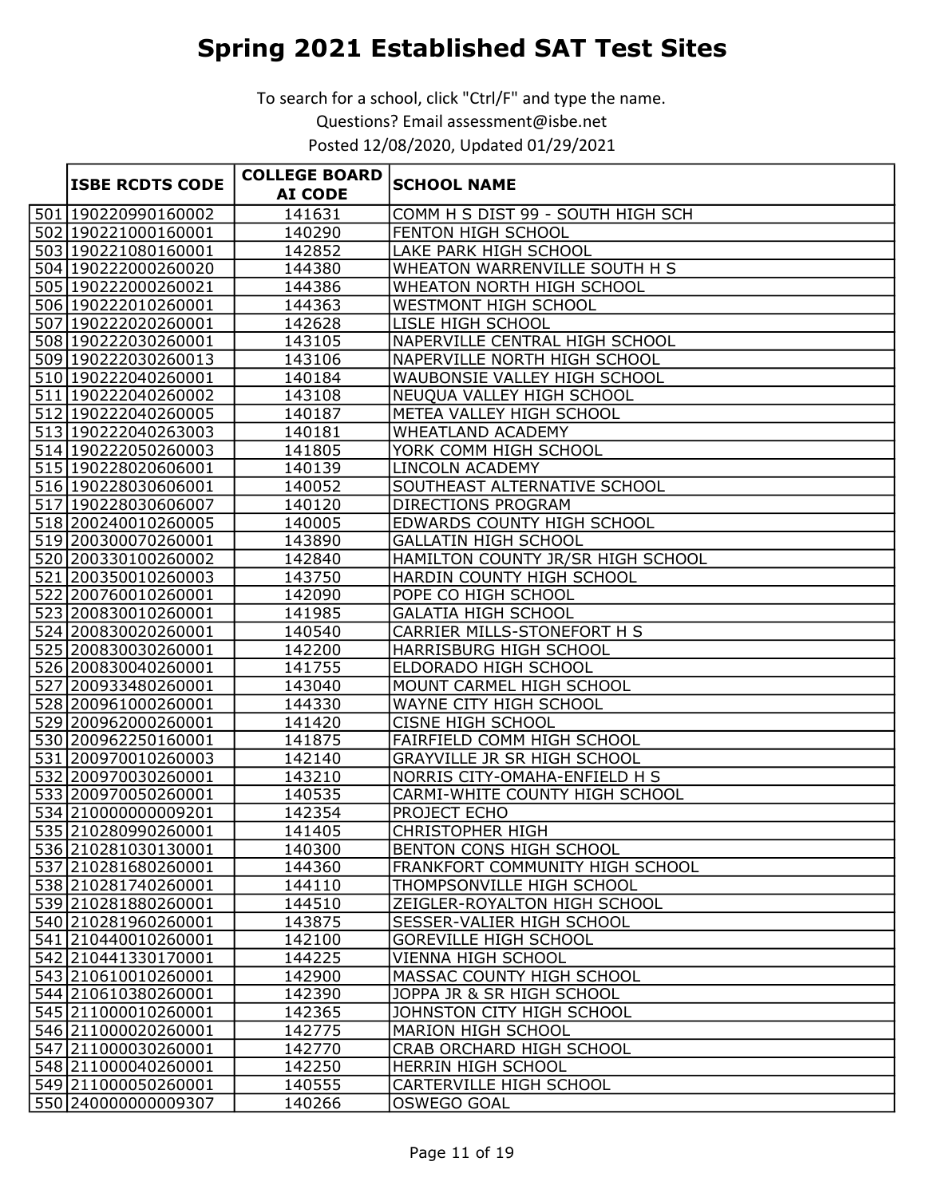|  | <b>ISBE RCDTS CODE</b> | <b>COLLEGE BOARD</b> |                                    |
|--|------------------------|----------------------|------------------------------------|
|  |                        | <b>AI CODE</b>       | <b>SCHOOL NAME</b>                 |
|  | 501 190220990160002    | 141631               | COMM H S DIST 99 - SOUTH HIGH SCH  |
|  | 502 190221000160001    | 140290               | FENTON HIGH SCHOOL                 |
|  | 503 190221080160001    | 142852               | LAKE PARK HIGH SCHOOL              |
|  | 504 190222000260020    | 144380               | WHEATON WARRENVILLE SOUTH H S      |
|  | 505 190222000260021    | 144386               | WHEATON NORTH HIGH SCHOOL          |
|  | 506 190222010260001    | 144363               | WESTMONT HIGH SCHOOL               |
|  | 507 190222020260001    | 142628               | LISLE HIGH SCHOOL                  |
|  | 508 190222030260001    | 143105               | NAPERVILLE CENTRAL HIGH SCHOOL     |
|  | 509 190222030260013    | 143106               | NAPERVILLE NORTH HIGH SCHOOL       |
|  | 510 190222040260001    | 140184               | WAUBONSIE VALLEY HIGH SCHOOL       |
|  | 511 190222040260002    | 143108               | NEUQUA VALLEY HIGH SCHOOL          |
|  | 512 190222040260005    | 140187               | METEA VALLEY HIGH SCHOOL           |
|  | 513 190222040263003    | 140181               | WHEATLAND ACADEMY                  |
|  | 514 190222050260003    | 141805               | YORK COMM HIGH SCHOOL              |
|  | 515 190228020606001    | 140139               | <b>LINCOLN ACADEMY</b>             |
|  | 516 190228030606001    | 140052               | SOUTHEAST ALTERNATIVE SCHOOL       |
|  | 517 190228030606007    | 140120               | <b>DIRECTIONS PROGRAM</b>          |
|  | 518 200240010260005    | 140005               | EDWARDS COUNTY HIGH SCHOOL         |
|  | 519 200300070260001    | 143890               | <b>GALLATIN HIGH SCHOOL</b>        |
|  | 520 200330100260002    | 142840               | HAMILTON COUNTY JR/SR HIGH SCHOOL  |
|  | 521 200350010260003    | 143750               | HARDIN COUNTY HIGH SCHOOL          |
|  | 522 200760010260001    | 142090               | POPE CO HIGH SCHOOL                |
|  | 523 200830010260001    | 141985               | <b>GALATIA HIGH SCHOOL</b>         |
|  | 524 200830020260001    | 140540               | CARRIER MILLS-STONEFORT H S        |
|  | 525 200830030260001    | 142200               | HARRISBURG HIGH SCHOOL             |
|  | 526 200830040260001    | 141755               | ELDORADO HIGH SCHOOL               |
|  | 527 200933480260001    | 143040               | MOUNT CARMEL HIGH SCHOOL           |
|  | 528 200961000260001    | 144330               | WAYNE CITY HIGH SCHOOL             |
|  | 529 200962000260001    | 141420               | <b>CISNE HIGH SCHOOL</b>           |
|  | 530 200962250160001    | 141875               | <b>FAIRFIELD COMM HIGH SCHOOL</b>  |
|  | 531 200970010260003    | 142140               | <b>GRAYVILLE JR SR HIGH SCHOOL</b> |
|  | 532 200970030260001    | 143210               | NORRIS CITY-OMAHA-ENFIELD H S      |
|  | 533 200970050260001    | 140535               | CARMI-WHITE COUNTY HIGH SCHOOL     |
|  | 534 210000000009201    | 142354               | PROJECT ECHO                       |
|  | 535 210280990260001    | 141405               | <b>CHRISTOPHER HIGH</b>            |
|  | 536 210281030130001    | 140300               | BENTON CONS HIGH SCHOOL            |
|  | 537 210281680260001    | 144360               | FRANKFORT COMMUNITY HIGH SCHOOL    |
|  | 538 210281740260001    | 144110               | THOMPSONVILLE HIGH SCHOOL          |
|  | 539 210281880260001    | 144510               | ZEIGLER-ROYALTON HIGH SCHOOL       |
|  | 540 210281960260001    | 143875               | SESSER-VALIER HIGH SCHOOL          |
|  | 541 210440010260001    | 142100               | <b>GOREVILLE HIGH SCHOOL</b>       |
|  | 542 210441330170001    | 144225               | VIENNA HIGH SCHOOL                 |
|  | 543 210610010260001    | 142900               | MASSAC COUNTY HIGH SCHOOL          |
|  | 544 210610380260001    | 142390               | JOPPA JR & SR HIGH SCHOOL          |
|  | 545 211000010260001    | 142365               | JOHNSTON CITY HIGH SCHOOL          |
|  | 546 211000020260001    | 142775               | MARION HIGH SCHOOL                 |
|  | 547 211000030260001    | 142770               | CRAB ORCHARD HIGH SCHOOL           |
|  | 548 211000040260001    | 142250               | HERRIN HIGH SCHOOL                 |
|  | 549 211000050260001    | 140555               | CARTERVILLE HIGH SCHOOL            |
|  | 550 240000000009307    | 140266               | <b>OSWEGO GOAL</b>                 |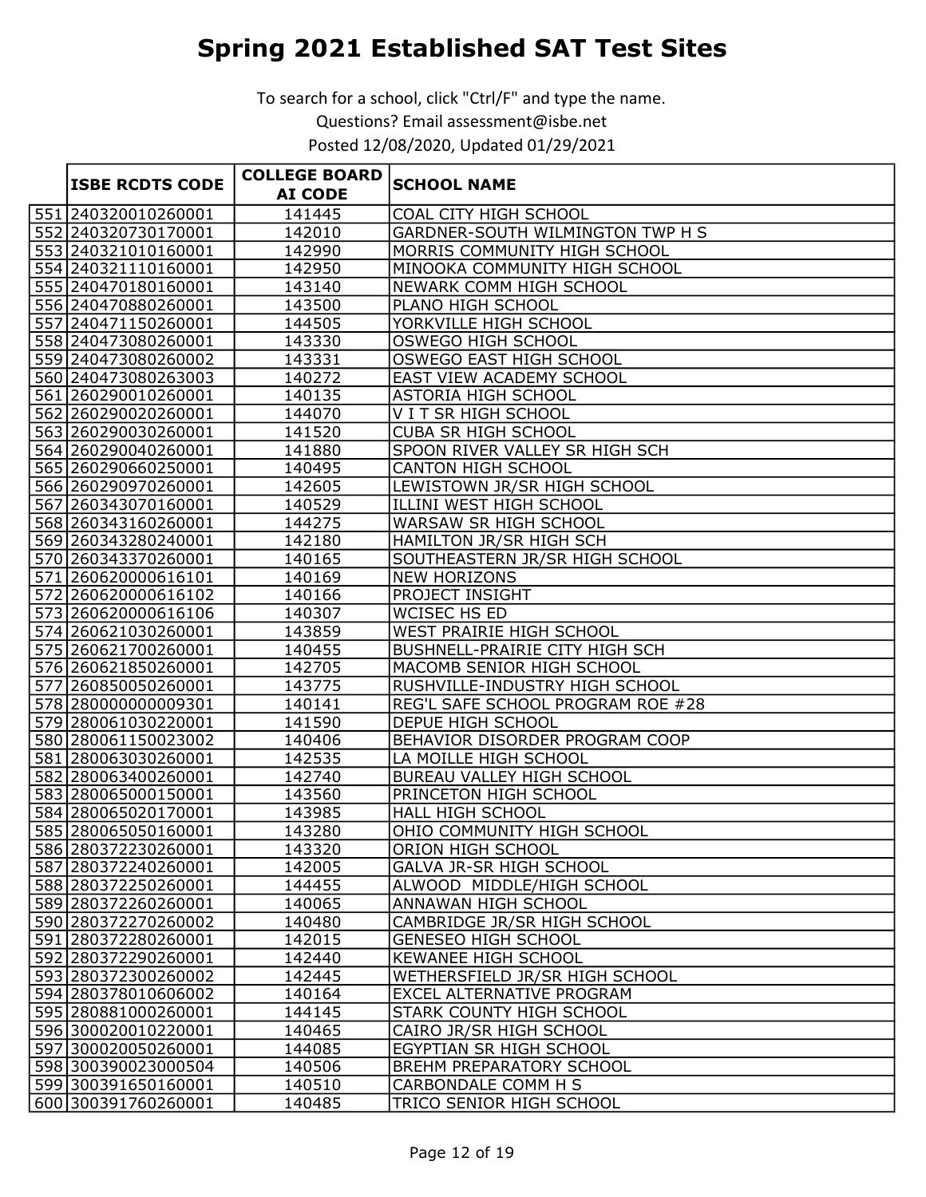To search for a school, click "Ctrl/F" and type the name. Questions? Email assessment@isbe.net

Posted 12/08/2020, Updated 01/29/2021

|                        | <b>COLLEGE BOARD</b> |                                   |
|------------------------|----------------------|-----------------------------------|
| <b>ISBE RCDTS CODE</b> | <b>AI CODE</b>       | <b>SCHOOL NAME</b>                |
| 551 240320010260001    | 141445               | COAL CITY HIGH SCHOOL             |
| 552 240320730170001    | 142010               | GARDNER-SOUTH WILMINGTON TWP H S  |
| 553 240321010160001    | 142990               | MORRIS COMMUNITY HIGH SCHOOL      |
| 554 240321110160001    | 142950               | MINOOKA COMMUNITY HIGH SCHOOL     |
| 555 240470180160001    | 143140               | <b>NEWARK COMM HIGH SCHOOL</b>    |
| 556 240470880260001    | 143500               | PLANO HIGH SCHOOL                 |
| 557 240471150260001    | 144505               | YORKVILLE HIGH SCHOOL             |
| 558 240473080260001    | 143330               | <b>OSWEGO HIGH SCHOOL</b>         |
| 559 240473080260002    | 143331               | OSWEGO EAST HIGH SCHOOL           |
| 560 240473080263003    | 140272               | EAST VIEW ACADEMY SCHOOL          |
| 561 260290010260001    | 140135               | <b>ASTORIA HIGH SCHOOL</b>        |
| 562 260290020260001    | 144070               | V I T SR HIGH SCHOOL              |
| 563 260290030260001    | 141520               | <b>CUBA SR HIGH SCHOOL</b>        |
| 564 260290040260001    | 141880               | SPOON RIVER VALLEY SR HIGH SCH    |
| 565 260290660250001    | 140495               | <b>CANTON HIGH SCHOOL</b>         |
| 566 260290970260001    | 142605               | LEWISTOWN JR/SR HIGH SCHOOL       |
| 567 260343070160001    | 140529               | ILLINI WEST HIGH SCHOOL           |
| 568 260343160260001    | 144275               | WARSAW SR HIGH SCHOOL             |
| 569 260343280240001    | 142180               | HAMILTON JR/SR HIGH SCH           |
| 570 260343370260001    | 140165               | SOUTHEASTERN JR/SR HIGH SCHOOL    |
| 571 260620000616101    | 140169               | <b>NEW HORIZONS</b>               |
| 572 260620000616102    | 140166               | <b>PROJECT INSIGHT</b>            |
| 573 260620000616106    | 140307               | WCISEC HS ED                      |
| 574 260621030260001    | 143859               | WEST PRAIRIE HIGH SCHOOL          |
| 575 260621700260001    | 140455               | BUSHNELL-PRAIRIE CITY HIGH SCH    |
| 576 260621850260001    | 142705               | MACOMB SENIOR HIGH SCHOOL         |
| 577 260850050260001    | 143775               | RUSHVILLE-INDUSTRY HIGH SCHOOL    |
| 578 280000000009301    | 140141               | REG'L SAFE SCHOOL PROGRAM ROE #28 |
| 579 280061030220001    | 141590               | <b>DEPUE HIGH SCHOOL</b>          |
| 580 280061150023002    | 140406               | BEHAVIOR DISORDER PROGRAM COOP    |
| 581 280063030260001    | 142535               | LA MOILLE HIGH SCHOOL             |
| 582 280063400260001    | 142740               | <b>BUREAU VALLEY HIGH SCHOOL</b>  |
| 583 280065000150001    | 143560               | PRINCETON HIGH SCHOOL             |
| 584 280065020170001    | 143985               | <b>HALL HIGH SCHOOL</b>           |
| 585 280065050160001    | 143280               | OHIO COMMUNITY HIGH SCHOOL        |
| 586 280372230260001    | 143320               | ORION HIGH SCHOOL                 |
| 587 280372240260001    | 142005               | <b>GALVA JR-SR HIGH SCHOOL</b>    |
| 588 280372250260001    | 144455               | ALWOOD MIDDLE/HIGH SCHOOL         |
| 589 280372260260001    | 140065               | ANNAWAN HIGH SCHOOL               |
| 590 280372270260002    | 140480               | CAMBRIDGE JR/SR HIGH SCHOOL       |
| 591 280372280260001    | 142015               | <b>GENESEO HIGH SCHOOL</b>        |
| 592 280372290260001    | 142440               | KEWANEE HIGH SCHOOL               |
| 593 280372300260002    | 142445               | WETHERSFIELD JR/SR HIGH SCHOOL    |
| 594 280378010606002    | 140164               | EXCEL ALTERNATIVE PROGRAM         |
| 595 280881000260001    | 144145               | STARK COUNTY HIGH SCHOOL          |
| 596 300020010220001    | 140465               | CAIRO JR/SR HIGH SCHOOL           |
| 597 300020050260001    | 144085               | EGYPTIAN SR HIGH SCHOOL           |
| 598 300390023000504    | 140506               | BREHM PREPARATORY SCHOOL          |
| 599 300391650160001    | 140510               | CARBONDALE COMM H S               |
| 600 300391760260001    | 140485               | TRICO SENIOR HIGH SCHOOL          |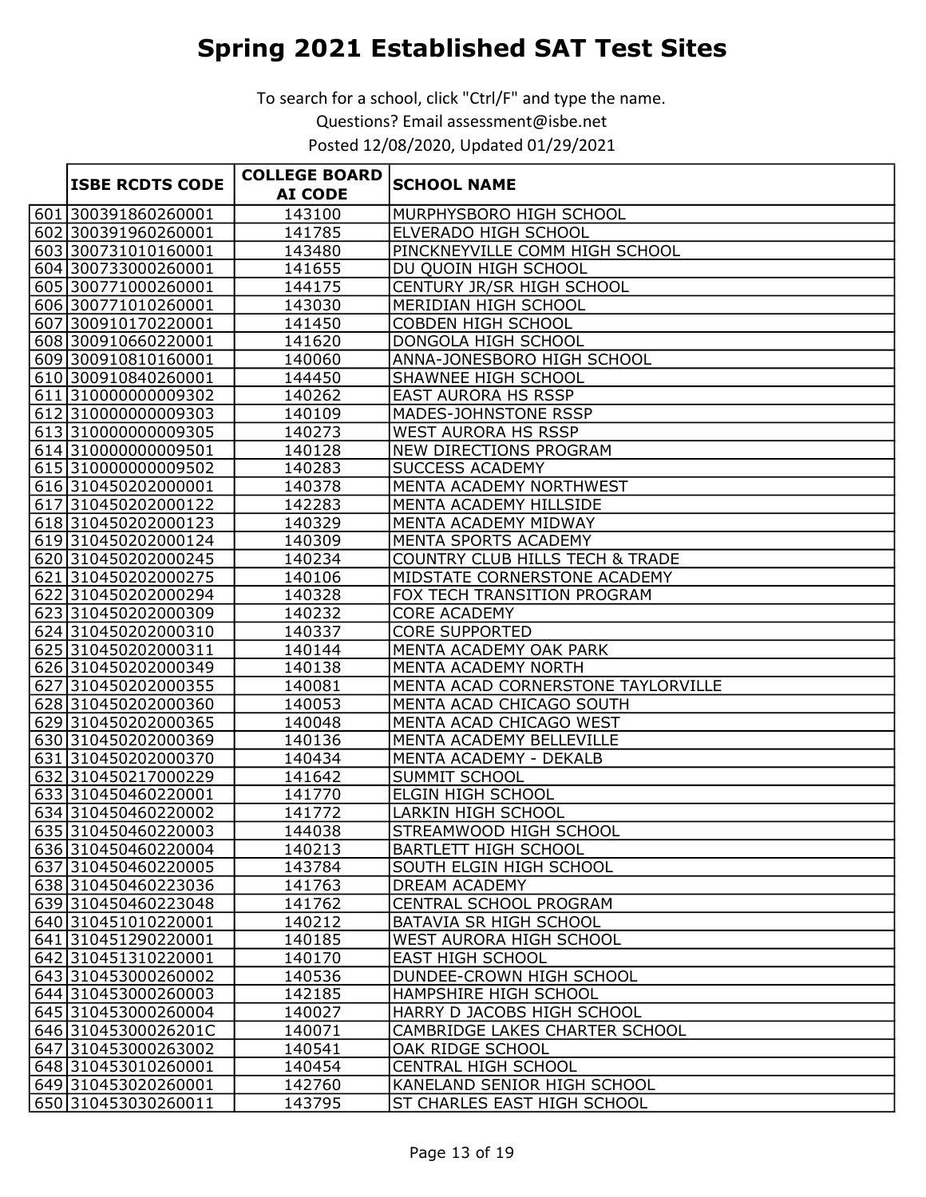| <b>ISBE RCDTS CODE</b> | <b>COLLEGE BOARD</b> | <b>SCHOOL NAME</b>                 |
|------------------------|----------------------|------------------------------------|
|                        | <b>AI CODE</b>       |                                    |
| 601 300391860260001    | 143100               | MURPHYSBORO HIGH SCHOOL            |
| 602 300391960260001    | 141785               | ELVERADO HIGH SCHOOL               |
| 603 300731010160001    | 143480               | PINCKNEYVILLE COMM HIGH SCHOOL     |
| 604 300733000260001    | 141655               | DU QUOIN HIGH SCHOOL               |
| 605 300771000260001    | 144175               | CENTURY JR/SR HIGH SCHOOL          |
| 606 300771010260001    | 143030               | MERIDIAN HIGH SCHOOL               |
| 607 300910170220001    | 141450               | <b>COBDEN HIGH SCHOOL</b>          |
| 608 300910660220001    | 141620               | DONGOLA HIGH SCHOOL                |
| 609 300910810160001    | 140060               | ANNA-JONESBORO HIGH SCHOOL         |
| 610 300910840260001    | 144450               | SHAWNEE HIGH SCHOOL                |
| 611 310000000009302    | 140262               | <b>EAST AURORA HS RSSP</b>         |
| 612 310000000009303    | 140109               | MADES-JOHNSTONE RSSP               |
| 613 310000000009305    | 140273               | <b>WEST AURORA HS RSSP</b>         |
| 614 310000000009501    | 140128               | <b>NEW DIRECTIONS PROGRAM</b>      |
| 615 310000000009502    | 140283               | <b>SUCCESS ACADEMY</b>             |
| 616 310450202000001    | 140378               | MENTA ACADEMY NORTHWEST            |
| 617 310450202000122    | 142283               | MENTA ACADEMY HILLSIDE             |
| 618 310450202000123    | 140329               | MENTA ACADEMY MIDWAY               |
| 619 310450202000124    | 140309               | MENTA SPORTS ACADEMY               |
| 620 310450202000245    | 140234               | COUNTRY CLUB HILLS TECH & TRADE    |
| 621 310450202000275    | 140106               | MIDSTATE CORNERSTONE ACADEMY       |
| 622 310450202000294    | 140328               | FOX TECH TRANSITION PROGRAM        |
| 623 310450202000309    | 140232               | <b>CORE ACADEMY</b>                |
| 624 310450202000310    | 140337               | <b>CORE SUPPORTED</b>              |
| 625 310450202000311    | 140144               | MENTA ACADEMY OAK PARK             |
| 626 310450202000349    | 140138               | MENTA ACADEMY NORTH                |
| 627 310450202000355    | 140081               | MENTA ACAD CORNERSTONE TAYLORVILLE |
| 628 310450202000360    | 140053               | MENTA ACAD CHICAGO SOUTH           |
| 629 310450202000365    | 140048               | MENTA ACAD CHICAGO WEST            |
| 630 310450202000369    | 140136               | MENTA ACADEMY BELLEVILLE           |
| 631 310450202000370    | 140434               | MENTA ACADEMY - DEKALB             |
| 632 310450217000229    | 141642               | <b>SUMMIT SCHOOL</b>               |
| 633 310450460220001    | 141770               | ELGIN HIGH SCHOOL                  |
| 634 310450460220002    | 141772               | <b>LARKIN HIGH SCHOOL</b>          |
| 635 310450460220003    | 144038               | STREAMWOOD HIGH SCHOOL             |
| 636 310450460220004    | 140213               | <b>BARTLETT HIGH SCHOOL</b>        |
| 637 310450460220005    | 143784               | SOUTH ELGIN HIGH SCHOOL            |
| 638 310450460223036    | 141763               | DREAM ACADEMY                      |
| 639 310450460223048    | 141762               | CENTRAL SCHOOL PROGRAM             |
| 640 310451010220001    | 140212               | BATAVIA SR HIGH SCHOOL             |
| 641 310451290220001    | 140185               | WEST AURORA HIGH SCHOOL            |
| 642 310451310220001    | 140170               | <b>EAST HIGH SCHOOL</b>            |
| 643 310453000260002    | 140536               | DUNDEE-CROWN HIGH SCHOOL           |
| 644 310453000260003    | 142185               | HAMPSHIRE HIGH SCHOOL              |
| 645 310453000260004    | 140027               | HARRY D JACOBS HIGH SCHOOL         |
| 646 31045300026201C    | 140071               | CAMBRIDGE LAKES CHARTER SCHOOL     |
| 647 310453000263002    | 140541               | OAK RIDGE SCHOOL                   |
| 648 310453010260001    | 140454               | <b>CENTRAL HIGH SCHOOL</b>         |
| 649 310453020260001    | 142760               | KANELAND SENIOR HIGH SCHOOL        |
| 650 310453030260011    | 143795               | ST CHARLES EAST HIGH SCHOOL        |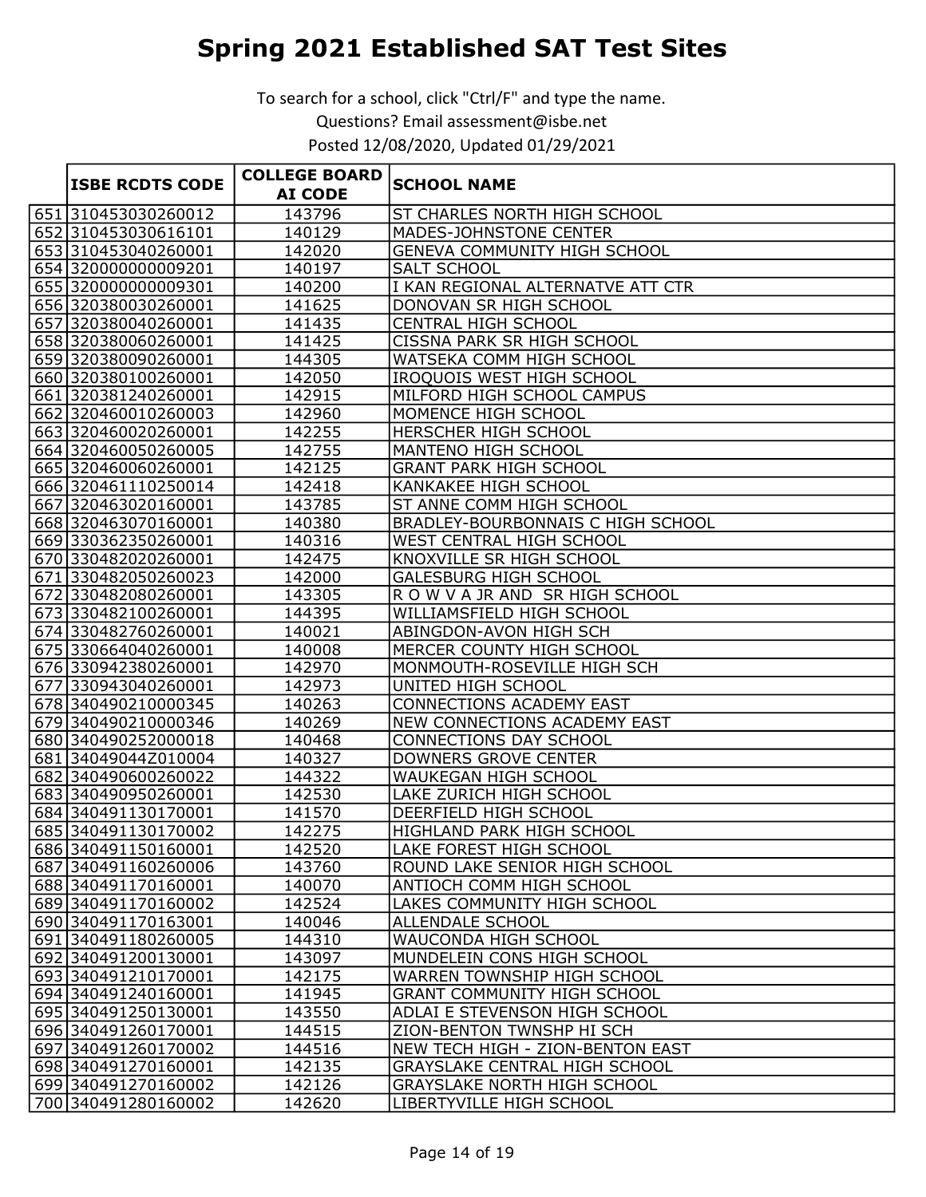To search for a school, click "Ctrl/F" and type the name. Questions? Email assessment@isbe.net

Posted 12/08/2020, Updated 01/29/2021

|  | <b>ISBE RCDTS CODE</b>                     | <b>COLLEGE BOARD</b> | <b>SCHOOL NAME</b>                                        |
|--|--------------------------------------------|----------------------|-----------------------------------------------------------|
|  |                                            | <b>AI CODE</b>       |                                                           |
|  | 651 310453030260012                        | 143796               | ST CHARLES NORTH HIGH SCHOOL                              |
|  | 652 310453030616101                        | 140129               | MADES-JOHNSTONE CENTER                                    |
|  | 653 310453040260001                        | 142020               | <b>GENEVA COMMUNITY HIGH SCHOOL</b>                       |
|  | 654 320000000009201                        | 140197               | <b>SALT SCHOOL</b>                                        |
|  | 655 320000000009301                        | 140200               | I KAN REGIONAL ALTERNATVE ATT CTR                         |
|  | 656 320380030260001                        | 141625               | DONOVAN SR HIGH SCHOOL                                    |
|  | 657 320380040260001                        | 141435               | CENTRAL HIGH SCHOOL                                       |
|  | 658 320380060260001                        | 141425               | CISSNA PARK SR HIGH SCHOOL                                |
|  | 659 320380090260001                        | 144305               | WATSEKA COMM HIGH SCHOOL                                  |
|  | 660 320380100260001                        | 142050               | IROQUOIS WEST HIGH SCHOOL                                 |
|  | 661 320381240260001                        | 142915               | MILFORD HIGH SCHOOL CAMPUS                                |
|  | 662 320460010260003                        | 142960               | MOMENCE HIGH SCHOOL                                       |
|  | 663 320460020260001                        | 142255               | HERSCHER HIGH SCHOOL                                      |
|  | 664 320460050260005                        | 142755               | MANTENO HIGH SCHOOL                                       |
|  | 665 320460060260001                        | 142125               | <b>GRANT PARK HIGH SCHOOL</b>                             |
|  | 666 320461110250014                        | 142418               | <b>KANKAKEE HIGH SCHOOL</b>                               |
|  | 667 320463020160001                        | 143785               | ST ANNE COMM HIGH SCHOOL                                  |
|  | 668 320463070160001                        | 140380               | <b>BRADLEY-BOURBONNAIS C HIGH SCHOOL</b>                  |
|  | 669 330362350260001                        | 140316               | WEST CENTRAL HIGH SCHOOL                                  |
|  | 670 330482020260001                        | 142475               | KNOXVILLE SR HIGH SCHOOL                                  |
|  | 671 330482050260023                        | 142000               | <b>GALESBURG HIGH SCHOOL</b>                              |
|  | 672 330482080260001                        | 143305               | ROW VAJR AND SR HIGH SCHOOL                               |
|  | 673 330482100260001                        | 144395               | WILLIAMSFIELD HIGH SCHOOL                                 |
|  | 674 330482760260001                        | 140021               | ABINGDON-AVON HIGH SCH                                    |
|  | 675 330664040260001                        | 140008               | MERCER COUNTY HIGH SCHOOL                                 |
|  | 676 330942380260001                        | 142970               | MONMOUTH-ROSEVILLE HIGH SCH                               |
|  | 677 330943040260001                        | 142973               | UNITED HIGH SCHOOL                                        |
|  | 678 340490210000345                        | 140263               | <b>CONNECTIONS ACADEMY EAST</b>                           |
|  | 679 340490210000346                        | 140269               | NEW CONNECTIONS ACADEMY EAST                              |
|  | 680 340490252000018                        | 140468               | CONNECTIONS DAY SCHOOL                                    |
|  | 681 34049044Z010004                        | 140327               | <b>DOWNERS GROVE CENTER</b>                               |
|  | 682 340490600260022                        | 144322               | WAUKEGAN HIGH SCHOOL                                      |
|  | 683 340490950260001                        | 142530               | <b>LAKE ZURICH HIGH SCHOOL</b>                            |
|  | 684 340491130170001                        | 141570               | <b>DEERFIELD HIGH SCHOOL</b>                              |
|  | 685 340491130170002                        | 142275               | HIGHLAND PARK HIGH SCHOOL                                 |
|  | 686 340491150160001                        | 142520               | LAKE FOREST HIGH SCHOOL                                   |
|  | 687 340491160260006                        | 143760               | ROUND LAKE SENIOR HIGH SCHOOL<br>ANTIOCH COMM HIGH SCHOOL |
|  | 688 340491170160001<br>689 340491170160002 | 140070<br>142524     | LAKES COMMUNITY HIGH SCHOOL                               |
|  |                                            |                      |                                                           |
|  | 690 340491170163001                        | 140046<br>144310     | ALLENDALE SCHOOL                                          |
|  | 691 340491180260005<br>692 340491200130001 | 143097               | WAUCONDA HIGH SCHOOL<br>MUNDELEIN CONS HIGH SCHOOL        |
|  | 693 340491210170001                        | 142175               | WARREN TOWNSHIP HIGH SCHOOL                               |
|  | 694 340491240160001                        | 141945               | <b>GRANT COMMUNITY HIGH SCHOOL</b>                        |
|  | 695 340491250130001                        | 143550               | ADLAI E STEVENSON HIGH SCHOOL                             |
|  | 696 340491260170001                        | 144515               | ZION-BENTON TWNSHP HI SCH                                 |
|  | 697 340491260170002                        | 144516               | NEW TECH HIGH - ZION-BENTON EAST                          |
|  | 698 340491270160001                        | 142135               | GRAYSLAKE CENTRAL HIGH SCHOOL                             |
|  | 699 340491270160002                        | 142126               | <b>GRAYSLAKE NORTH HIGH SCHOOL</b>                        |
|  | 700 340491280160002                        | 142620               | LIBERTYVILLE HIGH SCHOOL                                  |
|  |                                            |                      |                                                           |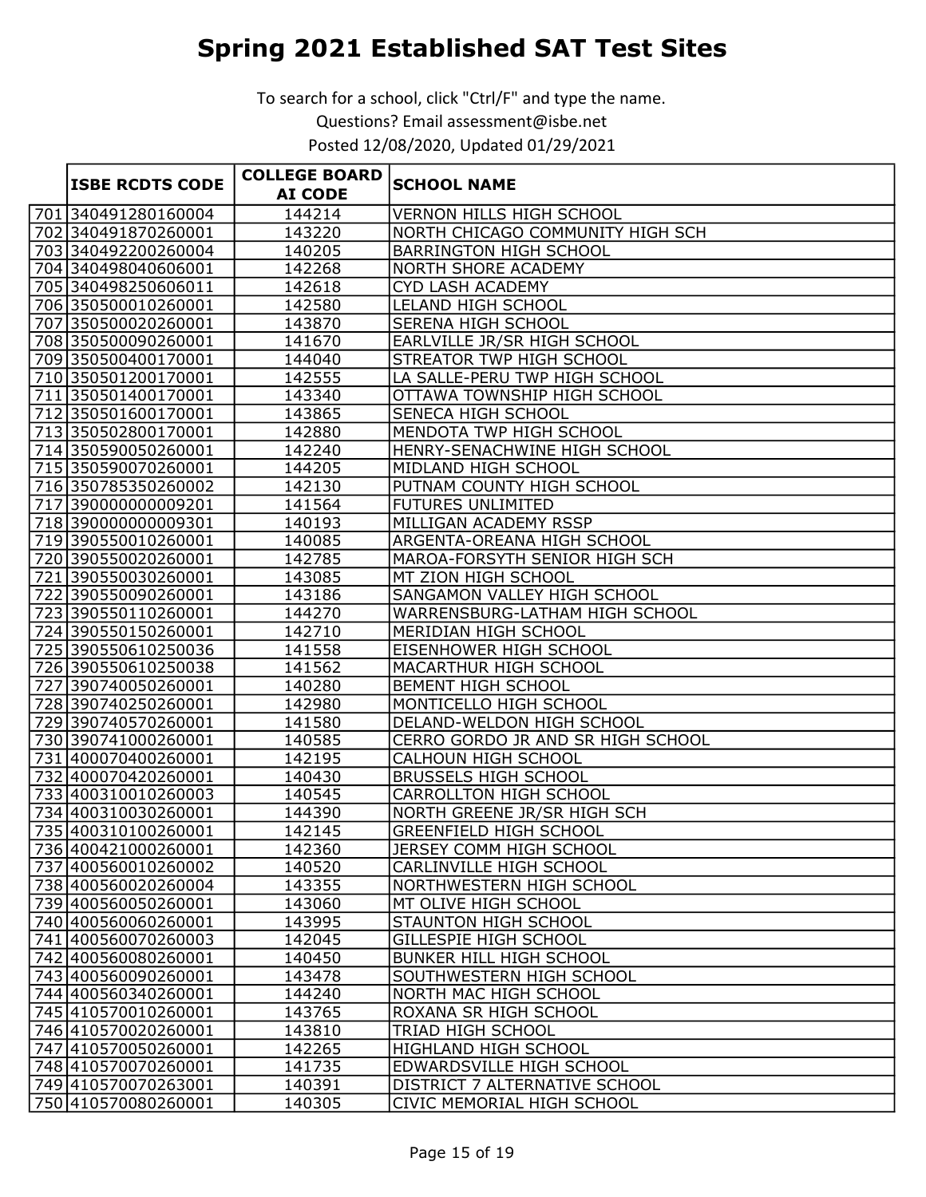|                        | <b>COLLEGE BOARD</b> |                                   |
|------------------------|----------------------|-----------------------------------|
| <b>ISBE RCDTS CODE</b> | <b>AI CODE</b>       | <b>SCHOOL NAME</b>                |
| 701 340491280160004    | 144214               | <b>VERNON HILLS HIGH SCHOOL</b>   |
| 702 340491870260001    | 143220               | NORTH CHICAGO COMMUNITY HIGH SCH  |
| 703 340492200260004    | 140205               | <b>BARRINGTON HIGH SCHOOL</b>     |
| 704 340498040606001    | 142268               | NORTH SHORE ACADEMY               |
| 705 340498250606011    | 142618               | CYD LASH ACADEMY                  |
| 706 350500010260001    | 142580               | LELAND HIGH SCHOOL                |
| 707 350500020260001    | 143870               | SERENA HIGH SCHOOL                |
| 708 350500090260001    | 141670               | EARLVILLE JR/SR HIGH SCHOOL       |
| 709 350500400170001    | 144040               | STREATOR TWP HIGH SCHOOL          |
| 710 350501200170001    | 142555               | LA SALLE-PERU TWP HIGH SCHOOL     |
| 711 350501400170001    | 143340               | OTTAWA TOWNSHIP HIGH SCHOOL       |
| 712 350501600170001    | 143865               | SENECA HIGH SCHOOL                |
| 713 350502800170001    | 142880               | MENDOTA TWP HIGH SCHOOL           |
| 714 350590050260001    | 142240               | HENRY-SENACHWINE HIGH SCHOOL      |
| 715 350590070260001    | 144205               | MIDLAND HIGH SCHOOL               |
| 716 350785350260002    | 142130               | PUTNAM COUNTY HIGH SCHOOL         |
| 717 390000000009201    | 141564               | FUTURES UNLIMITED                 |
| 718 390000000009301    | 140193               | MILLIGAN ACADEMY RSSP             |
| 719 390550010260001    | 140085               | ARGENTA-OREANA HIGH SCHOOL        |
| 720 390550020260001    | 142785               | MAROA-FORSYTH SENIOR HIGH SCH     |
| 721 390550030260001    | 143085               | MT ZION HIGH SCHOOL               |
| 722 390550090260001    | 143186               | SANGAMON VALLEY HIGH SCHOOL       |
| 723 390550110260001    | 144270               | WARRENSBURG-LATHAM HIGH SCHOOL    |
| 724 390550150260001    | 142710               | MERIDIAN HIGH SCHOOL              |
| 725 390550610250036    | 141558               | EISENHOWER HIGH SCHOOL            |
| 726 390550610250038    | 141562               | MACARTHUR HIGH SCHOOL             |
| 727 390740050260001    | 140280               | BEMENT HIGH SCHOOL                |
| 728 390740250260001    | 142980               | MONTICELLO HIGH SCHOOL            |
| 729 390740570260001    | 141580               | DELAND-WELDON HIGH SCHOOL         |
| 730 390741000260001    | 140585               | CERRO GORDO JR AND SR HIGH SCHOOL |
| 731 400070400260001    | 142195               | CALHOUN HIGH SCHOOL               |
| 732 400070420260001    | 140430               | <b>BRUSSELS HIGH SCHOOL</b>       |
| 733 400310010260003    | 140545               | <b>CARROLLTON HIGH SCHOOL</b>     |
| 734 400310030260001    | 144390               | NORTH GREENE JR/SR HIGH SCH       |
| 735 400310100260001    | 142145               | <b>GREENFIELD HIGH SCHOOL</b>     |
| 736 400421000260001    | 142360               | JERSEY COMM HIGH SCHOOL           |
| 737 400560010260002    | 140520               | CARLINVILLE HIGH SCHOOL           |
| 738 400560020260004    | 143355               | NORTHWESTERN HIGH SCHOOL          |
| 739 400560050260001    | 143060               | MT OLIVE HIGH SCHOOL              |
| 740 400560060260001    | 143995               | STAUNTON HIGH SCHOOL              |
| 741 400560070260003    | 142045               | <b>GILLESPIE HIGH SCHOOL</b>      |
| 742 400560080260001    | 140450               | BUNKER HILL HIGH SCHOOL           |
| 743 400560090260001    | 143478               | SOUTHWESTERN HIGH SCHOOL          |
| 744 400560340260001    | 144240               | NORTH MAC HIGH SCHOOL             |
| 745 410570010260001    | 143765               | ROXANA SR HIGH SCHOOL             |
| 746 410570020260001    | 143810               | TRIAD HIGH SCHOOL                 |
| 747 410570050260001    | 142265               | HIGHLAND HIGH SCHOOL              |
| 748 410570070260001    | 141735               | EDWARDSVILLE HIGH SCHOOL          |
| 749 410570070263001    | 140391               | DISTRICT 7 ALTERNATIVE SCHOOL     |
| 750 410570080260001    | 140305               | CIVIC MEMORIAL HIGH SCHOOL        |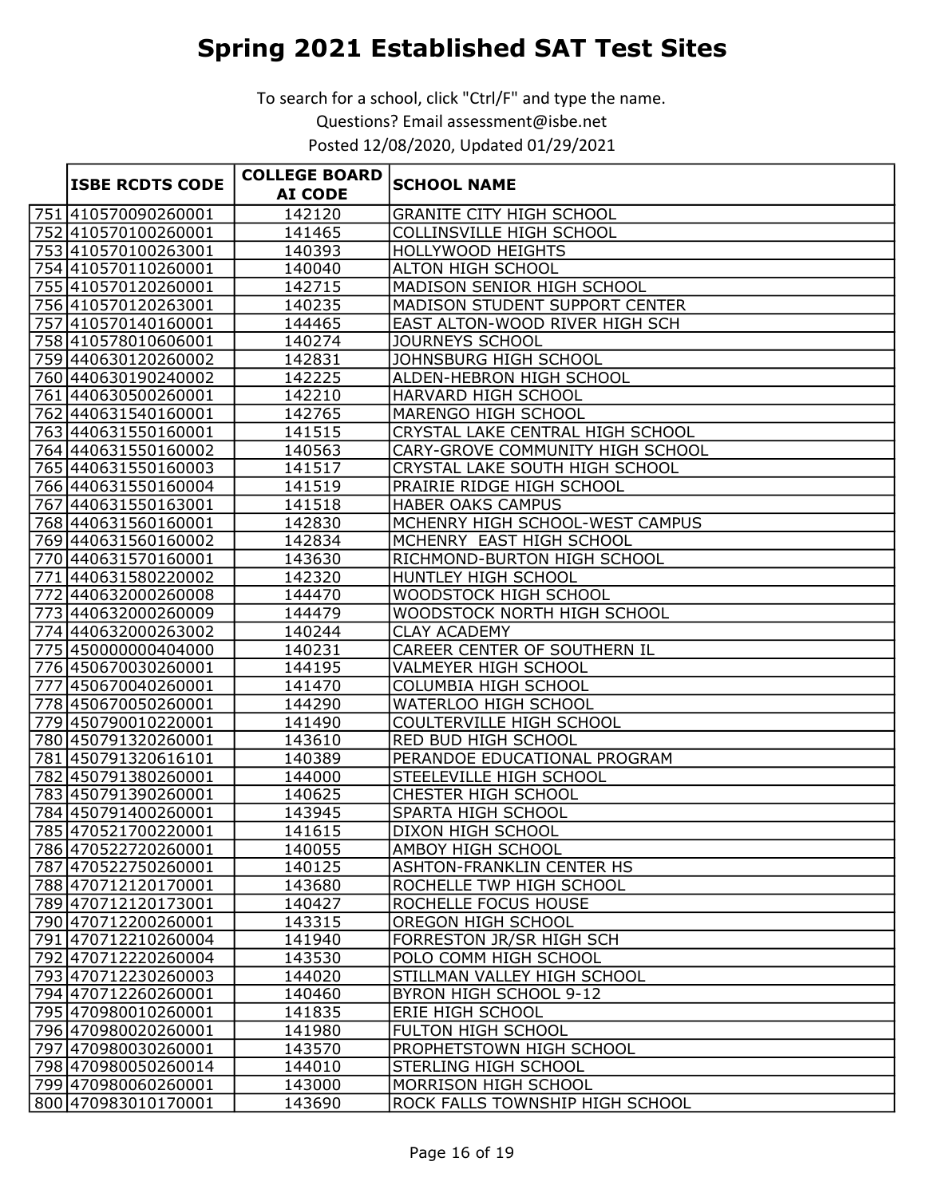|                        | <b>COLLEGE BOARD</b> |                                                     |
|------------------------|----------------------|-----------------------------------------------------|
| <b>ISBE RCDTS CODE</b> | <b>AI CODE</b>       | <b>SCHOOL NAME</b>                                  |
| 751 410570090260001    | 142120               | <b>GRANITE CITY HIGH SCHOOL</b>                     |
| 752 410570100260001    | 141465               | COLLINSVILLE HIGH SCHOOL                            |
| 753 410570100263001    | 140393               | <b>HOLLYWOOD HEIGHTS</b>                            |
| 754 410570110260001    | 140040               | <b>ALTON HIGH SCHOOL</b>                            |
| 755 410570120260001    | 142715               | MADISON SENIOR HIGH SCHOOL                          |
| 756 410570120263001    | 140235               | MADISON STUDENT SUPPORT CENTER                      |
| 757 410570140160001    | 144465               | EAST ALTON-WOOD RIVER HIGH SCH                      |
| 758 410578010606001    | 140274               | JOURNEYS SCHOOL                                     |
| 759 440630120260002    | 142831               | JOHNSBURG HIGH SCHOOL                               |
| 760 440630190240002    | 142225               | ALDEN-HEBRON HIGH SCHOOL                            |
| 761 440630500260001    | 142210               | HARVARD HIGH SCHOOL                                 |
| 762 440631540160001    | 142765               | MARENGO HIGH SCHOOL                                 |
| 763 440631550160001    | 141515               | CRYSTAL LAKE CENTRAL HIGH SCHOOL                    |
| 764 440631550160002    | 140563               | CARY-GROVE COMMUNITY HIGH SCHOOL                    |
| 765 440631550160003    | 141517               | CRYSTAL LAKE SOUTH HIGH SCHOOL                      |
| 766 440631550160004    | 141519               | PRAIRIE RIDGE HIGH SCHOOL                           |
| 767 440631550163001    | 141518               | <b>HABER OAKS CAMPUS</b>                            |
| 768 440631560160001    | 142830               | MCHENRY HIGH SCHOOL-WEST CAMPUS                     |
| 769 440631560160002    | 142834               | MCHENRY EAST HIGH SCHOOL                            |
| 770 440631570160001    | 143630               | RICHMOND-BURTON HIGH SCHOOL                         |
| 771 440631580220002    | 142320               | HUNTLEY HIGH SCHOOL                                 |
| 772 440632000260008    | 144470               | WOODSTOCK HIGH SCHOOL                               |
| 773 440632000260009    | 144479               | WOODSTOCK NORTH HIGH SCHOOL                         |
| 774 440632000263002    | 140244               | <b>CLAY ACADEMY</b>                                 |
| 775 450000000404000    | 140231               | CAREER CENTER OF SOUTHERN IL                        |
| 776 450670030260001    | 144195               | VALMEYER HIGH SCHOOL                                |
| 777 450670040260001    | 141470               | COLUMBIA HIGH SCHOOL                                |
| 778 450670050260001    | 144290               | WATERLOO HIGH SCHOOL                                |
| 779 450790010220001    | 141490               | COULTERVILLE HIGH SCHOOL                            |
| 780 450 7913 2026 0001 | 143610               | RED BUD HIGH SCHOOL                                 |
| 781 450791320616101    | 140389               | PERANDOE EDUCATIONAL PROGRAM                        |
| 782 450791380260001    | 144000               | STEELEVILLE HIGH SCHOOL                             |
| 783 450791390260001    | 140625               | CHESTER HIGH SCHOOL                                 |
| 784 450791400260001    | 143945               | SPARTA HIGH SCHOOL                                  |
| 785 470521700220001    | 141615               | DIXON HIGH SCHOOL                                   |
| 786 470522720260001    | 140055               | <b>AMBOY HIGH SCHOOL</b>                            |
| 787 470522750260001    | 140125               | <b>ASHTON-FRANKLIN CENTER HS</b>                    |
| 788 470712120170001    | 143680               | ROCHELLE TWP HIGH SCHOOL                            |
| 789 470712120173001    | 140427               | ROCHELLE FOCUS HOUSE                                |
| 790 470712200260001    | 143315               | OREGON HIGH SCHOOL                                  |
| 791 470712210260004    | 141940               | FORRESTON JR/SR HIGH SCH                            |
| 792 470712220260004    | 143530               | POLO COMM HIGH SCHOOL                               |
| 793 470712230260003    | 144020               | STILLMAN VALLEY HIGH SCHOOL                         |
| 794 470712260260001    | 140460               | BYRON HIGH SCHOOL 9-12                              |
| 795 470980010260001    | 141835               | ERIE HIGH SCHOOL                                    |
| 796 470980020260001    | 141980               | FULTON HIGH SCHOOL                                  |
| 797 470980030260001    | 143570               | PROPHETSTOWN HIGH SCHOOL                            |
| 798 470980050260014    | 144010               | STERLING HIGH SCHOOL<br><b>MORRISON HIGH SCHOOL</b> |
| 799 470980060260001    | 143000               |                                                     |
| 800 470983010170001    | 143690               | ROCK FALLS TOWNSHIP HIGH SCHOOL                     |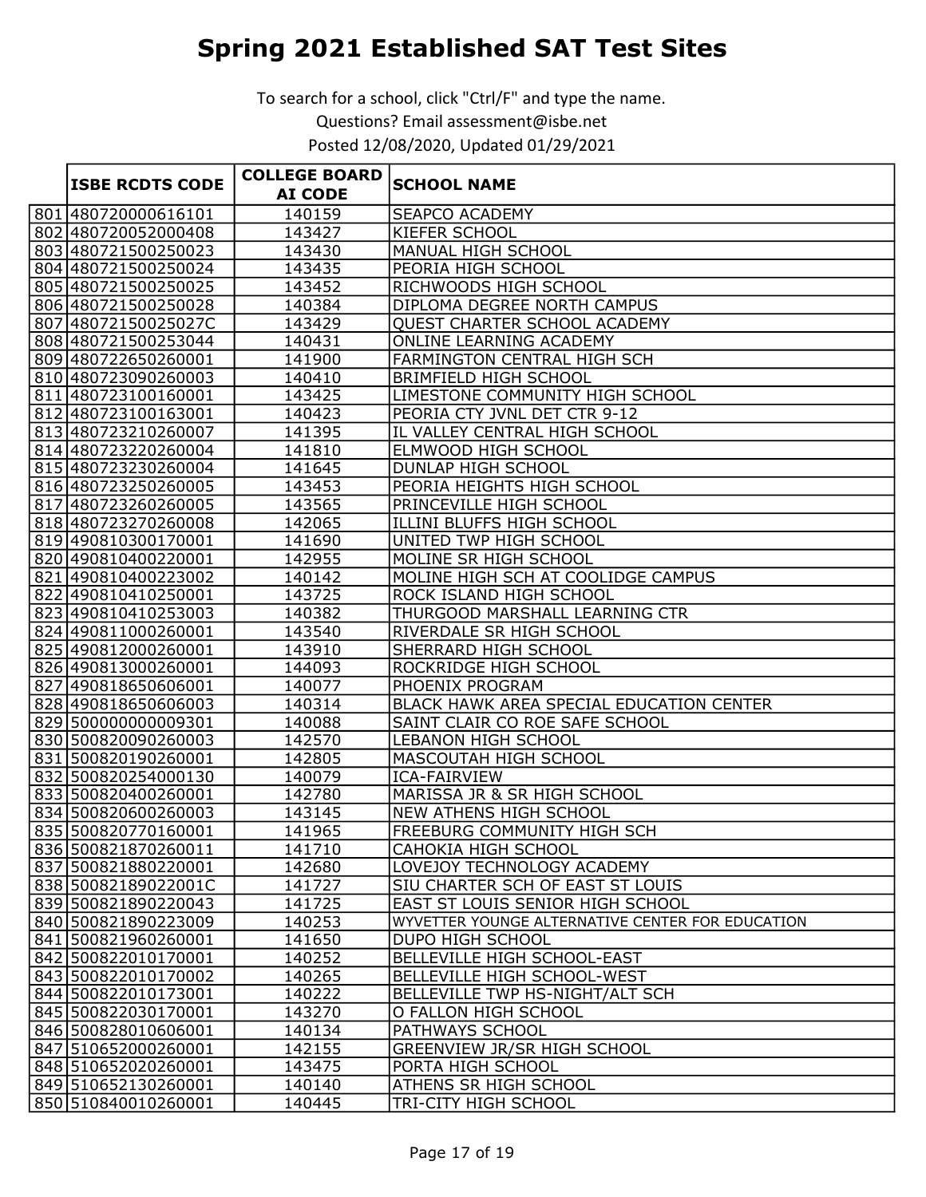|  | <b>ISBE RCDTS CODE</b> | <b>COLLEGE BOARD</b> |                                                  |
|--|------------------------|----------------------|--------------------------------------------------|
|  |                        | <b>AI CODE</b>       | <b>SCHOOL NAME</b>                               |
|  | 801 480720000616101    | 140159               | <b>SEAPCO ACADEMY</b>                            |
|  | 802 480720052000408    | 143427               | <b>KIEFER SCHOOL</b>                             |
|  | 803 480721500250023    | 143430               | MANUAL HIGH SCHOOL                               |
|  | 804 480721500250024    | 143435               | PEORIA HIGH SCHOOL                               |
|  | 805 480721500250025    | 143452               | RICHWOODS HIGH SCHOOL                            |
|  | 806 480721500250028    | 140384               | DIPLOMA DEGREE NORTH CAMPUS                      |
|  | 807 48072150025027C    | 143429               | QUEST CHARTER SCHOOL ACADEMY                     |
|  | 808 480721500253044    | 140431               | ONLINE LEARNING ACADEMY                          |
|  | 809 480722650260001    | 141900               | <b>FARMINGTON CENTRAL HIGH SCH</b>               |
|  | 810 480723090260003    | 140410               | <b>BRIMFIELD HIGH SCHOOL</b>                     |
|  | 811 480723100160001    | 143425               | LIMESTONE COMMUNITY HIGH SCHOOL                  |
|  | 812 480723100163001    | 140423               | PEORIA CTY JVNL DET CTR 9-12                     |
|  | 813 480723210260007    | 141395               | IL VALLEY CENTRAL HIGH SCHOOL                    |
|  | 814 480723220260004    | 141810               | ELMWOOD HIGH SCHOOL                              |
|  | 815 480723230260004    | 141645               | <b>DUNLAP HIGH SCHOOL</b>                        |
|  | 816 480723250260005    | 143453               | PEORIA HEIGHTS HIGH SCHOOL                       |
|  | 817 480723260260005    | 143565               | PRINCEVILLE HIGH SCHOOL                          |
|  | 818 480723270260008    | 142065               | ILLINI BLUFFS HIGH SCHOOL                        |
|  | 819 490810300170001    | 141690               | UNITED TWP HIGH SCHOOL                           |
|  | 820 490810400220001    | 142955               | MOLINE SR HIGH SCHOOL                            |
|  | 821 490810400223002    | 140142               | MOLINE HIGH SCH AT COOLIDGE CAMPUS               |
|  | 822 490810410250001    | 143725               | ROCK ISLAND HIGH SCHOOL                          |
|  | 823 490810410253003    | 140382               | THURGOOD MARSHALL LEARNING CTR                   |
|  | 824 490811000260001    | 143540               | RIVERDALE SR HIGH SCHOOL                         |
|  | 825 490812000260001    | 143910               | SHERRARD HIGH SCHOOL                             |
|  | 826 490813000260001    | 144093               | ROCKRIDGE HIGH SCHOOL                            |
|  | 827 490818650606001    | 140077               | PHOENIX PROGRAM                                  |
|  | 828 490818650606003    | 140314               | BLACK HAWK AREA SPECIAL EDUCATION CENTER         |
|  | 829 500000000009301    | 140088               | SAINT CLAIR CO ROE SAFE SCHOOL                   |
|  | 830 500820090260003    | 142570               | <b>LEBANON HIGH SCHOOL</b>                       |
|  | 831 500820190260001    | 142805               | MASCOUTAH HIGH SCHOOL                            |
|  | 832 500820254000130    | 140079               | <b>ICA-FAIRVIEW</b>                              |
|  | 833 500820400260001    | 142780               | MARISSA JR & SR HIGH SCHOOL                      |
|  | 834 500820600260003    | 143145               | <b>NEW ATHENS HIGH SCHOOL</b>                    |
|  | 835 500820770160001    | 141965               | <b>FREEBURG COMMUNITY HIGH SCH</b>               |
|  | 836 500821870260011    | 141710               | CAHOKIA HIGH SCHOOL                              |
|  | 837 500821880220001    | 142680               | LOVEJOY TECHNOLOGY ACADEMY                       |
|  | 838 50082189022001C    | 141727               | SIU CHARTER SCH OF EAST ST LOUIS                 |
|  | 839 500821890220043    | 141725               | EAST ST LOUIS SENIOR HIGH SCHOOL                 |
|  | 840 500821890223009    | 140253               | WYVETTER YOUNGE ALTERNATIVE CENTER FOR EDUCATION |
|  | 841 500821960260001    | 141650               | DUPO HIGH SCHOOL                                 |
|  | 842 500822010170001    | 140252               | BELLEVILLE HIGH SCHOOL-EAST                      |
|  | 843 500822010170002    | 140265               | BELLEVILLE HIGH SCHOOL-WEST                      |
|  | 844 500822010173001    | 140222               | BELLEVILLE TWP HS-NIGHT/ALT SCH                  |
|  | 845 500822030170001    | 143270               | O FALLON HIGH SCHOOL                             |
|  | 846 500828010606001    | 140134               | PATHWAYS SCHOOL                                  |
|  | 847 510652000260001    | 142155               | GREENVIEW JR/SR HIGH SCHOOL                      |
|  | 848 510652020260001    | 143475               | PORTA HIGH SCHOOL                                |
|  | 849 510652130260001    | 140140               | ATHENS SR HIGH SCHOOL                            |
|  | 850 510840010260001    | 140445               | TRI-CITY HIGH SCHOOL                             |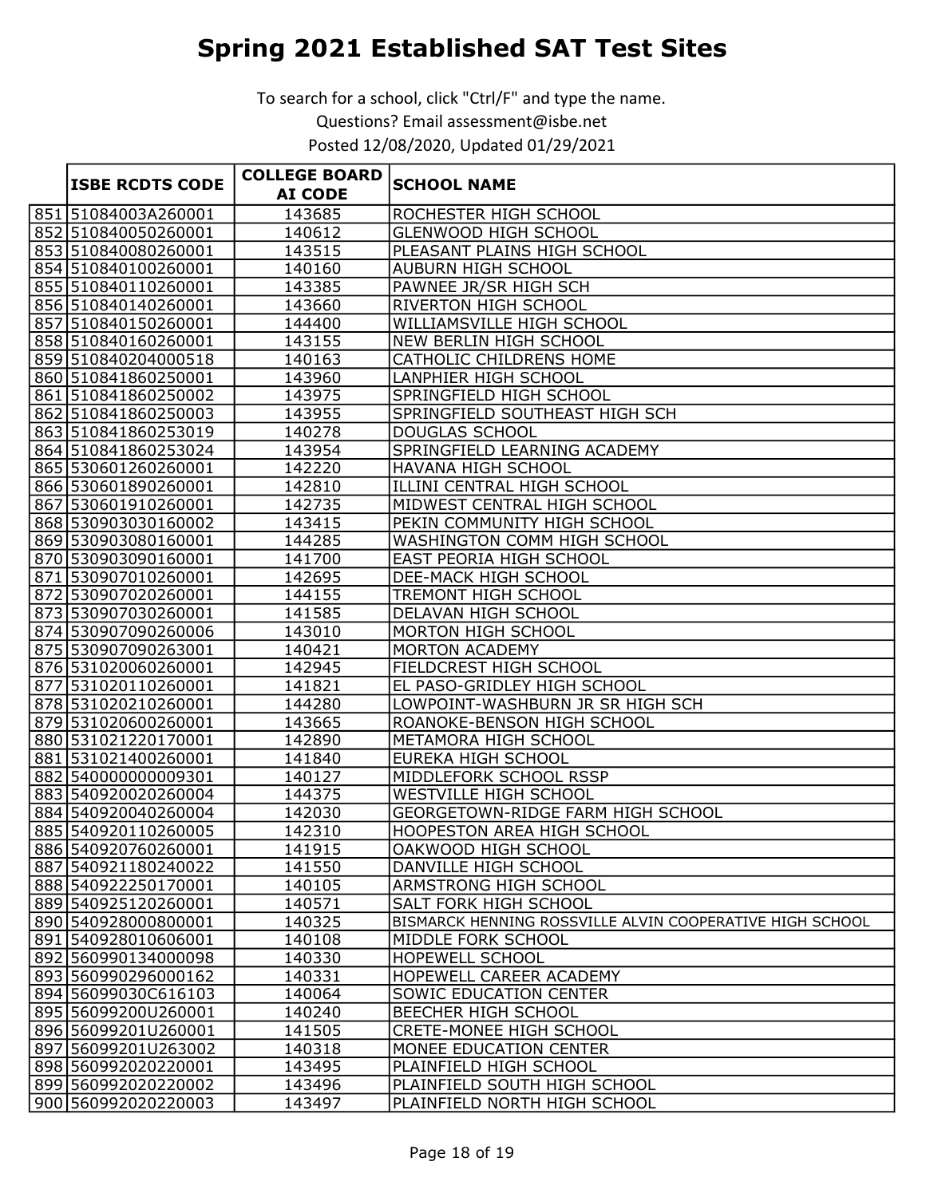|                        | <b>COLLEGE BOARD</b> |                                                          |
|------------------------|----------------------|----------------------------------------------------------|
| <b>ISBE RCDTS CODE</b> | <b>AI CODE</b>       | <b>SCHOOL NAME</b>                                       |
| 851 51084003A260001    | 143685               | <b>ROCHESTER HIGH SCHOOL</b>                             |
| 852 510840050260001    | 140612               | GLENWOOD HIGH SCHOOL                                     |
| 853 510840080260001    | 143515               | PLEASANT PLAINS HIGH SCHOOL                              |
| 854 510840100260001    | 140160               | AUBURN HIGH SCHOOL                                       |
| 855 510840110260001    | 143385               | PAWNEE JR/SR HIGH SCH                                    |
| 856 510840140260001    | 143660               | <b>RIVERTON HIGH SCHOOL</b>                              |
| 857 510840150260001    | 144400               | WILLIAMSVILLE HIGH SCHOOL                                |
| 858 510840160260001    | 143155               | <b>NEW BERLIN HIGH SCHOOL</b>                            |
| 859 510840204000518    | 140163               | CATHOLIC CHILDRENS HOME                                  |
| 860 510841860250001    | 143960               | LANPHIER HIGH SCHOOL                                     |
| 861 510841860250002    | 143975               | SPRINGFIELD HIGH SCHOOL                                  |
| 862 510841860250003    | 143955               | SPRINGFIELD SOUTHEAST HIGH SCH                           |
| 863 510841860253019    | 140278               | DOUGLAS SCHOOL                                           |
| 864 510841860253024    | 143954               | SPRINGFIELD LEARNING ACADEMY                             |
| 865 530601260260001    | 142220               | HAVANA HIGH SCHOOL                                       |
| 866 530601890260001    | 142810               | ILLINI CENTRAL HIGH SCHOOL                               |
| 867 530601910260001    | 142735               | MIDWEST CENTRAL HIGH SCHOOL                              |
| 868 530903030160002    | 143415               | PEKIN COMMUNITY HIGH SCHOOL                              |
| 869 530903080160001    | 144285               | WASHINGTON COMM HIGH SCHOOL                              |
| 870 530903090160001    | 141700               | <b>EAST PEORIA HIGH SCHOOL</b>                           |
| 871 530907010260001    | 142695               | <b>DEE-MACK HIGH SCHOOL</b>                              |
| 872 530907020260001    | 144155               | TREMONT HIGH SCHOOL                                      |
| 873 530907030260001    | 141585               | DELAVAN HIGH SCHOOL                                      |
| 874 530907090260006    | 143010               | MORTON HIGH SCHOOL                                       |
| 875 530907090263001    | 140421               | <b>MORTON ACADEMY</b>                                    |
| 876 531020060260001    | 142945               | FIELDCREST HIGH SCHOOL                                   |
| 877 531020110260001    | 141821               | EL PASO-GRIDLEY HIGH SCHOOL                              |
| 878 531020210260001    | 144280               | LOWPOINT-WASHBURN JR SR HIGH SCH                         |
| 879 531020600260001    | 143665               | ROANOKE-BENSON HIGH SCHOOL                               |
| 880 531021220170001    | 142890               | METAMORA HIGH SCHOOL                                     |
| 881 531021400260001    | 141840               | EUREKA HIGH SCHOOL                                       |
| 882 540000000009301    | 140127               | MIDDLEFORK SCHOOL RSSP                                   |
| 883 540920020260004    | 144375               | WESTVILLE HIGH SCHOOL                                    |
| 884 540920040260004    | 142030               | GEORGETOWN-RIDGE FARM HIGH SCHOOL                        |
| 885 540920110260005    | 142310               | HOOPESTON AREA HIGH SCHOOL                               |
| 886 540920760260001    | 141915               | OAKWOOD HIGH SCHOOL                                      |
| 887 540921180240022    | 141550               | DANVILLE HIGH SCHOOL                                     |
| 888 540922250170001    | 140105               | ARMSTRONG HIGH SCHOOL                                    |
| 889 540925120260001    | 140571               | SALT FORK HIGH SCHOOL                                    |
| 890 540928000800001    | 140325               | BISMARCK HENNING ROSSVILLE ALVIN COOPERATIVE HIGH SCHOOL |
| 891 540928010606001    | 140108               | MIDDLE FORK SCHOOL                                       |
| 892 560990134000098    | 140330               | <b>HOPEWELL SCHOOL</b>                                   |
| 893 560990296000162    | 140331               | HOPEWELL CAREER ACADEMY                                  |
| 894 56099030C616103    | 140064               | SOWIC EDUCATION CENTER                                   |
| 895 56099200U260001    | 140240               | BEECHER HIGH SCHOOL                                      |
| 896 56099201U260001    | 141505               | CRETE-MONEE HIGH SCHOOL                                  |
| 897 56099201 U263002   | 140318               | MONEE EDUCATION CENTER                                   |
| 898 560992020220001    | 143495               | PLAINFIELD HIGH SCHOOL                                   |
| 899 560992020220002    | 143496               | PLAINFIELD SOUTH HIGH SCHOOL                             |
| 900 560992020220003    | 143497               | PLAINFIELD NORTH HIGH SCHOOL                             |